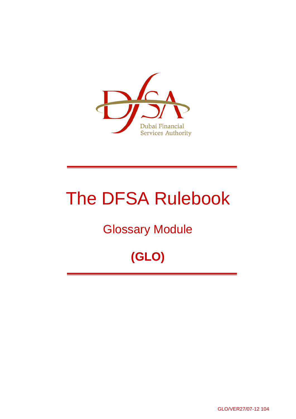

# The DFSA Rulebook

## Glossary Module

# **(GLO)**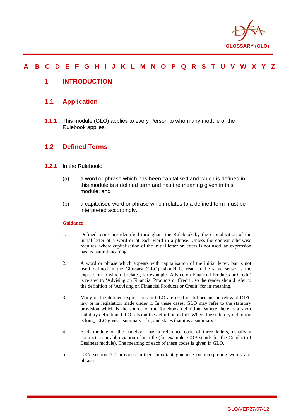

#### **A B C D E F G H I J K L M N O P Q R S T U V W X Y Z**

#### **1 INTRODUCTION**

#### **1.1 Application**

**1.1.1** This module (GLO) applies to every Person to whom any module of the Rulebook applies.

#### **1.2 Defined Terms**

- **1.2.1** In the Rulebook:
	- (a) a word or phrase which has been capitalised and which is defined in this module is a defined term and has the meaning given in this module; and
	- (b) a capitalised word or phrase which relates to a defined term must be interpreted accordingly.

#### **Guidance**

- 1. Defined terms are identified throughout the Rulebook by the capitalisation of the initial letter of a word or of each word in a phrase. Unless the context otherwise requires, where capitalisation of the initial letter or letters is not used, an expression has its natural meaning.
- 2. A word or phrase which appears with capitalisation of the initial letter, but is not itself defined in the Glossary (GLO), should be read in the same sense as the expression to which it relates, for example 'Advice on Financial Products or Credit' is related to 'Advising on Financial Products or Credit', so the reader should refer to the definition of 'Advising on Financial Products or Credit' for its meaning.
- 3. Many of the defined expressions in GLO are used or defined in the relevant DIFC law or in legislation made under it. In these cases, GLO may refer to the statutory provision which is the source of the Rulebook definition. Where there is a short statutory definition, GLO sets out the definition in full. Where the statutory definition is long, GLO gives a summary of it, and states that it is a summary.
- 4. Each module of the Rulebook has a reference code of three letters, usually a contraction or abbreviation of its title (for example, COB stands for the Conduct of Business module). The meaning of each of these codes is given in GLO.
- 5. GEN section 6.2 provides further important guidance on interpreting words and phrases.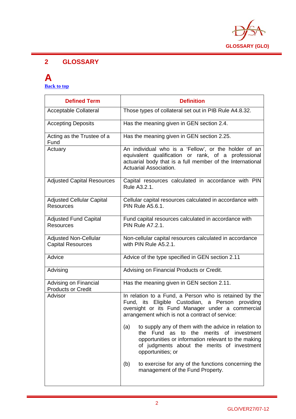

#### **2 GLOSSARY**

### **A**

**Back to top** 

| <b>Defined Term</b>                                      | <b>Definition</b>                                                                                                                                                                                                                 |
|----------------------------------------------------------|-----------------------------------------------------------------------------------------------------------------------------------------------------------------------------------------------------------------------------------|
| <b>Acceptable Collateral</b>                             | Those types of collateral set out in PIB Rule A4.8.32.                                                                                                                                                                            |
| <b>Accepting Deposits</b>                                | Has the meaning given in GEN section 2.4.                                                                                                                                                                                         |
| Acting as the Trustee of a<br>Fund                       | Has the meaning given in GEN section 2.25.                                                                                                                                                                                        |
| Actuary                                                  | An individual who is a 'Fellow', or the holder of an<br>equivalent qualification or rank, of a professional<br>actuarial body that is a full member of the International<br>Actuarial Association.                                |
| <b>Adjusted Capital Resources</b>                        | Capital resources calculated in accordance with PIN<br>Rule A3.2.1.                                                                                                                                                               |
| <b>Adjusted Cellular Capital</b><br><b>Resources</b>     | Cellular capital resources calculated in accordance with<br><b>PIN Rule A5.6.1.</b>                                                                                                                                               |
| <b>Adjusted Fund Capital</b><br><b>Resources</b>         | Fund capital resources calculated in accordance with<br><b>PIN Rule A7.2.1.</b>                                                                                                                                                   |
| <b>Adjusted Non-Cellular</b><br><b>Capital Resources</b> | Non-cellular capital resources calculated in accordance<br>with PIN Rule A5.2.1.                                                                                                                                                  |
| Advice                                                   | Advice of the type specified in GEN section 2.11                                                                                                                                                                                  |
| Advising                                                 | Advising on Financial Products or Credit.                                                                                                                                                                                         |
| Advising on Financial<br><b>Products or Credit</b>       | Has the meaning given in GEN section 2.11.                                                                                                                                                                                        |
| Advisor                                                  | In relation to a Fund, a Person who is retained by the<br>its Eligible Custodian, a Person providing<br>Fund,<br>oversight or its Fund Manager under a commercial<br>arrangement which is not a contract of service:              |
|                                                          | to supply any of them with the advice in relation to<br>(a)<br>the Fund as to the merits of investment<br>opportunities or information relevant to the making<br>of judgments about the merits of investment<br>opportunities; or |
|                                                          | to exercise for any of the functions concerning the<br>(b)<br>management of the Fund Property.                                                                                                                                    |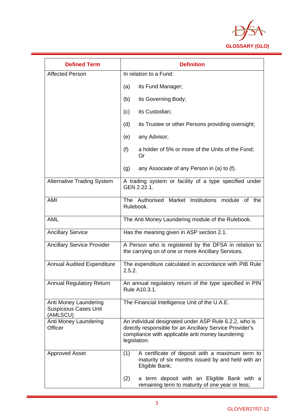

| <b>Defined Term</b>                                               | <b>Definition</b>                                                                                                                                                                     |
|-------------------------------------------------------------------|---------------------------------------------------------------------------------------------------------------------------------------------------------------------------------------|
| <b>Affected Person</b>                                            | In relation to a Fund:                                                                                                                                                                |
|                                                                   | its Fund Manager;<br>(a)                                                                                                                                                              |
|                                                                   | its Governing Body;<br>(b)                                                                                                                                                            |
|                                                                   | its Custodian;<br>(c)                                                                                                                                                                 |
|                                                                   | (d)<br>its Trustee or other Persons providing oversight;                                                                                                                              |
|                                                                   | any Advisor;<br>(e)                                                                                                                                                                   |
|                                                                   | (f)<br>a holder of 5% or more of the Units of the Fund;<br>Or                                                                                                                         |
|                                                                   | any Associate of any Person in (a) to (f).<br>(g)                                                                                                                                     |
| <b>Alternative Trading System</b>                                 | A trading system or facility of a type specified under<br>GEN 2.22.1.                                                                                                                 |
| AMI                                                               | The Authorised Market Institutions module of the<br>Rulebook.                                                                                                                         |
| <b>AML</b>                                                        | The Anti Money Laundering module of the Rulebook.                                                                                                                                     |
| <b>Ancillary Service</b>                                          | Has the meaning given in ASP section 2.1.                                                                                                                                             |
| <b>Ancillary Service Provider</b>                                 | A Person who is registered by the DFSA in relation to<br>the carrying on of one or more Ancillary Services.                                                                           |
| <b>Annual Audited Expenditure</b>                                 | The expenditure calculated in accordance with PIB Rule<br>2.5.2.                                                                                                                      |
| <b>Annual Regulatory Return</b>                                   | An annual regulatory return of the type specified in PIN<br>Rule A10.3.1.                                                                                                             |
| Anti Money Laundering<br><b>Suspicious Cases Unit</b><br>(AMLSCU) | The Financial Intelligence Unit of the U.A.E.                                                                                                                                         |
| Anti Money Laundering<br>Officer                                  | An individual designated under ASP Rule 6.2.2, who is<br>directly responsible for an Ancillary Service Provider's<br>compliance with applicable anti money laundering<br>legislation. |
| <b>Approved Asset</b>                                             | (1)<br>A certificate of deposit with a maximum term to<br>maturity of six months issued by and held with an<br>Eligible Bank;                                                         |
|                                                                   | (2)<br>a term deposit with an Eligible Bank with a<br>remaining term to maturity of one year or less;                                                                                 |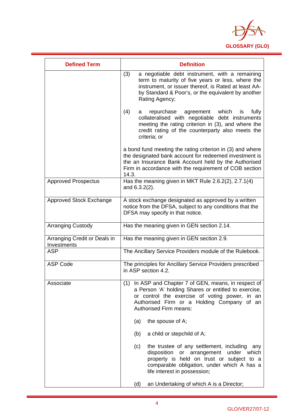

| <b>Defined Term</b>                         | <b>Definition</b>                                                                                                                                                                                                                              |
|---------------------------------------------|------------------------------------------------------------------------------------------------------------------------------------------------------------------------------------------------------------------------------------------------|
|                                             | (3)<br>a negotiable debt instrument, with a remaining<br>term to maturity of five years or less, where the<br>instrument, or issuer thereof, is Rated at least AA-<br>by Standard & Poor's, or the equivalent by another<br>Rating Agency;     |
|                                             | (4)<br>repurchase<br>agreement which<br>fully<br>is<br>a<br>collateralised with negotiable debt instruments<br>meeting the rating criterion in (3), and where the<br>credit rating of the counterparty also meets the<br>criteria; or          |
|                                             | a bond fund meeting the rating criterion in (3) and where<br>the designated bank account for redeemed investment is<br>the an Insurance Bank Account held by the Authorised<br>Firm in accordance with the requirement of COB section<br>14.3. |
| <b>Approved Prospectus</b>                  | Has the meaning given in MKT Rule 2.6.2(2), 2.7.1(4)<br>and 6.3.2(2).                                                                                                                                                                          |
| Approved Stock Exchange                     | A stock exchange designated as approved by a written<br>notice from the DFSA, subject to any conditions that the<br>DFSA may specify in that notice.                                                                                           |
| <b>Arranging Custody</b>                    | Has the meaning given in GEN section 2.14.                                                                                                                                                                                                     |
| Arranging Credit or Deals in<br>Investments | Has the meaning given in GEN section 2.9.                                                                                                                                                                                                      |
| <b>ASP</b>                                  | The Ancillary Service Providers module of the Rulebook.                                                                                                                                                                                        |
| <b>ASP Code</b>                             | The principles for Ancillary Service Providers prescribed<br>in ASP section 4.2.                                                                                                                                                               |
| Associate                                   | (1) In ASP and Chapter 7 of GEN, means, in respect of<br>a Person 'A' holding Shares or entitled to exercise,<br>or control the exercise of voting power, in an<br>Authorised Firm or a Holding Company of an<br><b>Authorised Firm means:</b> |
|                                             | the spouse of A;<br>(a)                                                                                                                                                                                                                        |
|                                             | a child or stepchild of A;<br>(b)                                                                                                                                                                                                              |
|                                             | the trustee of any settlement, including any<br>(c)<br>disposition<br>or arrangement under which<br>property is held on trust or subject to a<br>comparable obligation, under which A has a<br>life interest in possession;                    |
|                                             | an Undertaking of which A is a Director;<br>(d)                                                                                                                                                                                                |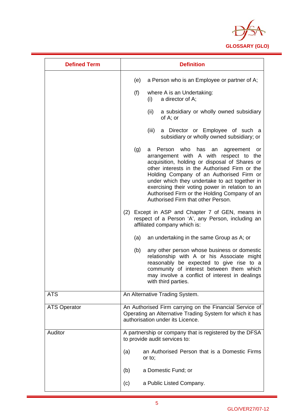

| <b>Defined Term</b> | <b>Definition</b>                                                                                                                                                                                                                                                                                                                                                                                                                         |
|---------------------|-------------------------------------------------------------------------------------------------------------------------------------------------------------------------------------------------------------------------------------------------------------------------------------------------------------------------------------------------------------------------------------------------------------------------------------------|
|                     | a Person who is an Employee or partner of A;<br>(e)                                                                                                                                                                                                                                                                                                                                                                                       |
|                     | (f)<br>where A is an Undertaking:<br>a director of A;<br>(i)                                                                                                                                                                                                                                                                                                                                                                              |
|                     | a subsidiary or wholly owned subsidiary<br>(ii)<br>of A; or                                                                                                                                                                                                                                                                                                                                                                               |
|                     | (iii)<br>a Director or Employee of such a<br>subsidiary or wholly owned subsidiary; or                                                                                                                                                                                                                                                                                                                                                    |
|                     | Person<br>who has<br>(g)<br>agreement<br>a<br>an<br>-or<br>arrangement with A with respect to the<br>acquisition, holding or disposal of Shares or<br>other interests in the Authorised Firm or the<br>Holding Company of an Authorised Firm or<br>under which they undertake to act together in<br>exercising their voting power in relation to an<br>Authorised Firm or the Holding Company of an<br>Authorised Firm that other Person. |
|                     | (2)<br>Except in ASP and Chapter 7 of GEN, means in<br>respect of a Person 'A', any Person, including an<br>affiliated company which is:                                                                                                                                                                                                                                                                                                  |
|                     | (a)<br>an undertaking in the same Group as A; or                                                                                                                                                                                                                                                                                                                                                                                          |
|                     | any other person whose business or domestic<br>(b)<br>relationship with A or his Associate might<br>reasonably be expected to give rise to a<br>community of interest between them which<br>may involve a conflict of interest in dealings<br>with third parties.                                                                                                                                                                         |
| <b>ATS</b>          | An Alternative Trading System.                                                                                                                                                                                                                                                                                                                                                                                                            |
| <b>ATS Operator</b> | An Authorised Firm carrying on the Financial Service of<br>Operating an Alternative Trading System for which it has<br>authorisation under its Licence.                                                                                                                                                                                                                                                                                   |
| Auditor             | A partnership or company that is registered by the DFSA<br>to provide audit services to:                                                                                                                                                                                                                                                                                                                                                  |
|                     | an Authorised Person that is a Domestic Firms<br>(a)<br>or to;                                                                                                                                                                                                                                                                                                                                                                            |
|                     | a Domestic Fund; or<br>(b)                                                                                                                                                                                                                                                                                                                                                                                                                |
|                     | a Public Listed Company.<br>(c)                                                                                                                                                                                                                                                                                                                                                                                                           |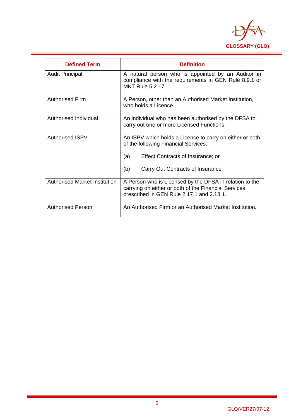

| <b>Defined Term</b>                  | <b>Definition</b>                                                                                                                                            |
|--------------------------------------|--------------------------------------------------------------------------------------------------------------------------------------------------------------|
| <b>Audit Principal</b>               | A natural person who is appointed by an Auditor in<br>compliance with the requirements in GEN Rule 8.9.1 or<br><b>MKT Rule 5.2.17.</b>                       |
| <b>Authorised Firm</b>               | A Person, other than an Authorised Market Institution,<br>who holds a Licence.                                                                               |
| Authorised Individual                | An individual who has been authorised by the DFSA to<br>carry out one or more Licensed Functions.                                                            |
| Authorised ISPV                      | An ISPV which holds a Licence to carry on either or both<br>of the following Financial Services:                                                             |
|                                      | (a)<br><b>Effect Contracts of Insurance; or</b>                                                                                                              |
|                                      | (b)<br>Carry Out Contracts of Insurance                                                                                                                      |
| <b>Authorised Market Institution</b> | A Person who is Licensed by the DFSA in relation to the<br>carrying on either or both of the Financial Services<br>prescribed in GEN Rule 2.17.1 and 2.18.1. |
| <b>Authorised Person</b>             | An Authorised Firm or an Authorised Market Institution.                                                                                                      |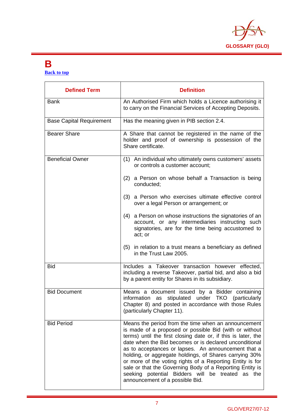

### **B**

**Back to top** 

| <b>Defined Term</b>             | <b>Definition</b>                                                                                                                                                                                                                                                                                                                                                                                                                                                                                                                                                         |
|---------------------------------|---------------------------------------------------------------------------------------------------------------------------------------------------------------------------------------------------------------------------------------------------------------------------------------------------------------------------------------------------------------------------------------------------------------------------------------------------------------------------------------------------------------------------------------------------------------------------|
| <b>Bank</b>                     | An Authorised Firm which holds a Licence authorising it<br>to carry on the Financial Services of Accepting Deposits.                                                                                                                                                                                                                                                                                                                                                                                                                                                      |
| <b>Base Capital Requirement</b> | Has the meaning given in PIB section 2.4.                                                                                                                                                                                                                                                                                                                                                                                                                                                                                                                                 |
| <b>Bearer Share</b>             | A Share that cannot be registered in the name of the<br>holder and proof of ownership is possession of the<br>Share certificate.                                                                                                                                                                                                                                                                                                                                                                                                                                          |
| <b>Beneficial Owner</b>         | (1) An individual who ultimately owns customers' assets<br>or controls a customer account;                                                                                                                                                                                                                                                                                                                                                                                                                                                                                |
|                                 | (2) a Person on whose behalf a Transaction is being<br>conducted;                                                                                                                                                                                                                                                                                                                                                                                                                                                                                                         |
|                                 | (3) a Person who exercises ultimate effective control<br>over a legal Person or arrangement; or                                                                                                                                                                                                                                                                                                                                                                                                                                                                           |
|                                 | (4) a Person on whose instructions the signatories of an<br>account, or any intermediaries instructing such<br>signatories, are for the time being accustomed to<br>act; or                                                                                                                                                                                                                                                                                                                                                                                               |
|                                 | (5)<br>in relation to a trust means a beneficiary as defined<br>in the Trust Law 2005.                                                                                                                                                                                                                                                                                                                                                                                                                                                                                    |
| <b>Bid</b>                      | Includes a Takeover transaction however effected,<br>including a reverse Takeover, partial bid, and also a bid<br>by a parent entity for Shares in its subsidiary.                                                                                                                                                                                                                                                                                                                                                                                                        |
| <b>Bid Document</b>             | Means a document issued by a Bidder containing<br>information as<br>stipulated<br>under TKO (particularly<br>Chapter 8) and posted in accordance with those Rules<br>(particularly Chapter 11).                                                                                                                                                                                                                                                                                                                                                                           |
| <b>Bid Period</b>               | Means the period from the time when an announcement<br>is made of a proposed or possible Bid (with or without<br>terms) until the first closing date or, if this is later, the<br>date when the Bid becomes or is declared unconditional<br>as to acceptances or lapses. An announcement that a<br>holding, or aggregate holdings, of Shares carrying 30%<br>or more of the voting rights of a Reporting Entity is for<br>sale or that the Governing Body of a Reporting Entity is<br>seeking potential Bidders will be treated as the<br>announcement of a possible Bid. |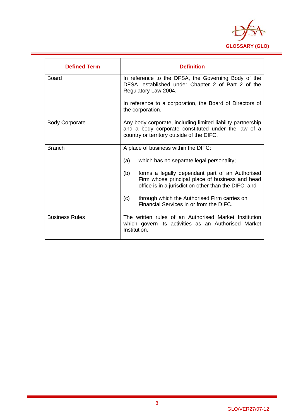

| <b>Defined Term</b>   | <b>Definition</b>                                                                                                                                                 |
|-----------------------|-------------------------------------------------------------------------------------------------------------------------------------------------------------------|
| <b>Board</b>          | In reference to the DFSA, the Governing Body of the<br>DFSA, established under Chapter 2 of Part 2 of the<br>Regulatory Law 2004.                                 |
|                       | In reference to a corporation, the Board of Directors of<br>the corporation.                                                                                      |
| <b>Body Corporate</b> | Any body corporate, including limited liability partnership<br>and a body corporate constituted under the law of a<br>country or territory outside of the DIFC.   |
| <b>Branch</b>         | A place of business within the DIFC:                                                                                                                              |
|                       | (a)<br>which has no separate legal personality;                                                                                                                   |
|                       | (b)<br>forms a legally dependant part of an Authorised<br>Firm whose principal place of business and head<br>office is in a jurisdiction other than the DIFC; and |
|                       | through which the Authorised Firm carries on<br>(c)<br>Financial Services in or from the DIFC.                                                                    |
| <b>Business Rules</b> | The written rules of an Authorised Market Institution<br>which govern its activities as an Authorised Market<br>Institution.                                      |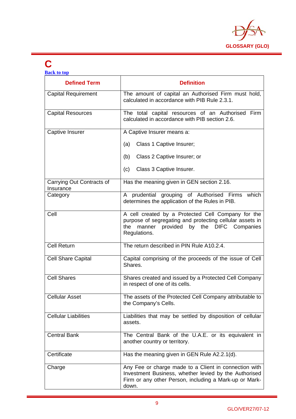

### **C**

| <b>Back to top</b>                     |                                                                                                                                                                                   |
|----------------------------------------|-----------------------------------------------------------------------------------------------------------------------------------------------------------------------------------|
| <b>Defined Term</b>                    | <b>Definition</b>                                                                                                                                                                 |
| <b>Capital Requirement</b>             | The amount of capital an Authorised Firm must hold,<br>calculated in accordance with PIB Rule 2.3.1.                                                                              |
| <b>Capital Resources</b>               | The total capital resources of an Authorised Firm<br>calculated in accordance with PIB section 2.6.                                                                               |
| Captive Insurer                        | A Captive Insurer means a:                                                                                                                                                        |
|                                        | Class 1 Captive Insurer;<br>(a)                                                                                                                                                   |
|                                        | Class 2 Captive Insurer; or<br>(b)                                                                                                                                                |
|                                        | Class 3 Captive Insurer.<br>(c)                                                                                                                                                   |
| Carrying Out Contracts of<br>Insurance | Has the meaning given in GEN section 2.16.                                                                                                                                        |
| Category                               | A prudential grouping of Authorised Firms<br>which<br>determines the application of the Rules in PIB.                                                                             |
| Cell                                   | A cell created by a Protected Cell Company for the<br>purpose of segregating and protecting cellular assets in<br>manner provided by the DIFC Companies<br>the<br>Regulations.    |
| <b>Cell Return</b>                     | The return described in PIN Rule A10.2.4.                                                                                                                                         |
| <b>Cell Share Capital</b>              | Capital comprising of the proceeds of the issue of Cell<br>Shares.                                                                                                                |
| <b>Cell Shares</b>                     | Shares created and issued by a Protected Cell Company<br>in respect of one of its cells.                                                                                          |
| <b>Cellular Asset</b>                  | The assets of the Protected Cell Company attributable to<br>the Company's Cells.                                                                                                  |
| <b>Cellular Liabilities</b>            | Liabilities that may be settled by disposition of cellular<br>assets.                                                                                                             |
| <b>Central Bank</b>                    | The Central Bank of the U.A.E. or its equivalent in<br>another country or territory.                                                                                              |
| Certificate                            | Has the meaning given in GEN Rule A2.2.1(d).                                                                                                                                      |
| Charge                                 | Any Fee or charge made to a Client in connection with<br>Investment Business, whether levied by the Authorised<br>Firm or any other Person, including a Mark-up or Mark-<br>down. |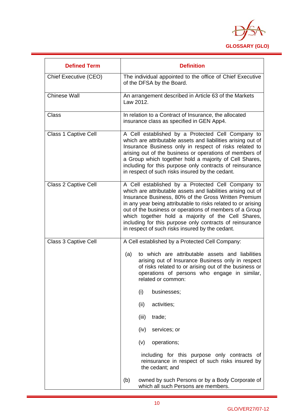

| <b>Defined Term</b>          | <b>Definition</b>                                                                                                                                                                                                                                                                                                                                                                                                                                                                                                                  |
|------------------------------|------------------------------------------------------------------------------------------------------------------------------------------------------------------------------------------------------------------------------------------------------------------------------------------------------------------------------------------------------------------------------------------------------------------------------------------------------------------------------------------------------------------------------------|
| <b>Chief Executive (CEO)</b> | The individual appointed to the office of Chief Executive<br>of the DFSA by the Board.                                                                                                                                                                                                                                                                                                                                                                                                                                             |
| <b>Chinese Wall</b>          | An arrangement described in Article 63 of the Markets<br>Law 2012.                                                                                                                                                                                                                                                                                                                                                                                                                                                                 |
| <b>Class</b>                 | In relation to a Contract of Insurance, the allocated<br>insurance class as specified in GEN App4.                                                                                                                                                                                                                                                                                                                                                                                                                                 |
| <b>Class 1 Captive Cell</b>  | A Cell established by a Protected Cell Company to<br>which are attributable assets and liabilities arising out of<br>Insurance Business only in respect of risks related to<br>arising out of the business or operations of members of<br>a Group which together hold a majority of Cell Shares,<br>including for this purpose only contracts of reinsurance<br>in respect of such risks insured by the cedant.                                                                                                                    |
| <b>Class 2 Captive Cell</b>  | A Cell established by a Protected Cell Company to<br>which are attributable assets and liabilities arising out of<br>Insurance Business, 80% of the Gross Written Premium<br>in any year being attributable to risks related to or arising<br>out of the business or operations of members of a Group<br>which together hold a majority of the Cell Shares,<br>including for this purpose only contracts of reinsurance<br>in respect of such risks insured by the cedant.                                                         |
| Class 3 Captive Cell         | A Cell established by a Protected Cell Company:<br>to which are attributable assets and liabilities<br>(a)<br>arising out of Insurance Business only in respect<br>of risks related to or arising out of the business or<br>operations of persons who engage in similar,<br>related or common:<br>(i)<br>businesses;<br>(ii)<br>activities;<br>(iii)<br>trade;<br>(iv)<br>services; or<br>(v)<br>operations;<br>including for this purpose only contracts of<br>reinsurance in respect of such risks insured by<br>the cedant; and |
|                              | (b)<br>owned by such Persons or by a Body Corporate of<br>which all such Persons are members.                                                                                                                                                                                                                                                                                                                                                                                                                                      |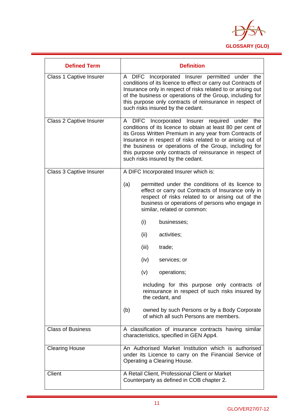

| <b>Defined Term</b>      | <b>Definition</b>                                                                                                                                                                                                                                                                                                                                                                                 |
|--------------------------|---------------------------------------------------------------------------------------------------------------------------------------------------------------------------------------------------------------------------------------------------------------------------------------------------------------------------------------------------------------------------------------------------|
| Class 1 Captive Insurer  | DIFC<br>Incorporated Insurer permitted under the<br>A<br>conditions of its licence to effect or carry out Contracts of<br>Insurance only in respect of risks related to or arising out<br>of the business or operations of the Group, including for<br>this purpose only contracts of reinsurance in respect of<br>such risks insured by the cedant.                                              |
| Class 2 Captive Insurer  | A DIFC Incorporated Insurer required under the<br>conditions of its licence to obtain at least 80 per cent of<br>its Gross Written Premium in any year from Contracts of<br>Insurance in respect of risks related to or arising out of<br>the business or operations of the Group, including for<br>this purpose only contracts of reinsurance in respect of<br>such risks insured by the cedant. |
| Class 3 Captive Insurer  | A DIFC Incorporated Insurer which is:                                                                                                                                                                                                                                                                                                                                                             |
|                          | (a)<br>permitted under the conditions of its licence to<br>effect or carry out Contracts of Insurance only in<br>respect of risks related to or arising out of the<br>business or operations of persons who engage in<br>similar, related or common:                                                                                                                                              |
|                          | (i)<br>businesses;                                                                                                                                                                                                                                                                                                                                                                                |
|                          | activities;<br>(ii)                                                                                                                                                                                                                                                                                                                                                                               |
|                          | (iii)<br>trade;                                                                                                                                                                                                                                                                                                                                                                                   |
|                          | (iv)<br>services; or                                                                                                                                                                                                                                                                                                                                                                              |
|                          | (v)<br>operations;                                                                                                                                                                                                                                                                                                                                                                                |
|                          | including for this purpose only contracts of<br>reinsurance in respect of such risks insured by<br>the cedant, and                                                                                                                                                                                                                                                                                |
|                          | owned by such Persons or by a Body Corporate<br>(b)<br>of which all such Persons are members.                                                                                                                                                                                                                                                                                                     |
| <b>Class of Business</b> | A classification of insurance contracts having similar<br>characteristics, specified in GEN App4.                                                                                                                                                                                                                                                                                                 |
| <b>Clearing House</b>    | An Authorised Market Institution which is authorised<br>under its Licence to carry on the Financial Service of<br>Operating a Clearing House.                                                                                                                                                                                                                                                     |
| Client                   | A Retail Client, Professional Client or Market<br>Counterparty as defined in COB chapter 2.                                                                                                                                                                                                                                                                                                       |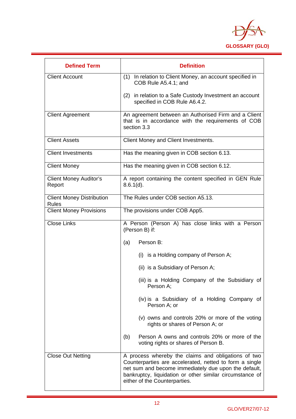

| <b>Defined Term</b>                              | <b>Definition</b>                                                                                                                                                                                                                                                   |
|--------------------------------------------------|---------------------------------------------------------------------------------------------------------------------------------------------------------------------------------------------------------------------------------------------------------------------|
| <b>Client Account</b>                            | In relation to Client Money, an account specified in<br>(1)<br>COB Rule A5.4.1; and                                                                                                                                                                                 |
|                                                  | (2) in relation to a Safe Custody Investment an account<br>specified in COB Rule A6.4.2.                                                                                                                                                                            |
| <b>Client Agreement</b>                          | An agreement between an Authorised Firm and a Client<br>that is in accordance with the requirements of COB<br>section 3.3                                                                                                                                           |
| <b>Client Assets</b>                             | Client Money and Client Investments.                                                                                                                                                                                                                                |
| <b>Client Investments</b>                        | Has the meaning given in COB section 6.13.                                                                                                                                                                                                                          |
| <b>Client Money</b>                              | Has the meaning given in COB section 6.12.                                                                                                                                                                                                                          |
| <b>Client Money Auditor's</b><br>Report          | A report containing the content specified in GEN Rule<br>$8.6.1(d)$ .                                                                                                                                                                                               |
| <b>Client Money Distribution</b><br><b>Rules</b> | The Rules under COB section A5.13.                                                                                                                                                                                                                                  |
| <b>Client Money Provisions</b>                   | The provisions under COB App5.                                                                                                                                                                                                                                      |
| <b>Close Links</b>                               | A Person (Person A) has close links with a Person<br>(Person B) if:                                                                                                                                                                                                 |
|                                                  | Person B:<br>(a)                                                                                                                                                                                                                                                    |
|                                                  | (i) is a Holding company of Person A;                                                                                                                                                                                                                               |
|                                                  | (ii) is a Subsidiary of Person A;                                                                                                                                                                                                                                   |
|                                                  | (iii) is a Holding Company of the Subsidiary of<br>Person A;                                                                                                                                                                                                        |
|                                                  | (iv) is a Subsidiary of a Holding Company of<br>Person A; or                                                                                                                                                                                                        |
|                                                  | (v) owns and controls 20% or more of the voting<br>rights or shares of Person A; or                                                                                                                                                                                 |
|                                                  | Person A owns and controls 20% or more of the<br>(b)<br>voting rights or shares of Person B.                                                                                                                                                                        |
| <b>Close Out Netting</b>                         | A process whereby the claims and obligations of two<br>Counterparties are accelerated, netted to form a single<br>net sum and become immediately due upon the default,<br>bankruptcy, liquidation or other similar circumstance of<br>either of the Counterparties. |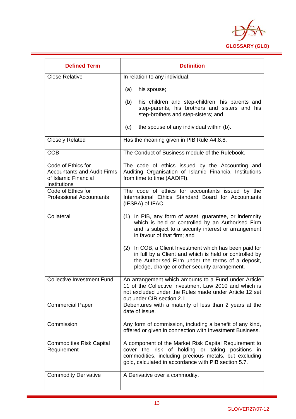

| <b>Defined Term</b>                                                                              | <b>Definition</b>                                                                                                                                                                                                          |
|--------------------------------------------------------------------------------------------------|----------------------------------------------------------------------------------------------------------------------------------------------------------------------------------------------------------------------------|
| <b>Close Relative</b>                                                                            | In relation to any individual:                                                                                                                                                                                             |
|                                                                                                  | (a)<br>his spouse;                                                                                                                                                                                                         |
|                                                                                                  | (b)<br>his children and step-children, his parents and<br>step-parents, his brothers and sisters and his<br>step-brothers and step-sisters; and                                                                            |
|                                                                                                  | the spouse of any individual within (b).<br>(c)                                                                                                                                                                            |
| <b>Closely Related</b>                                                                           | Has the meaning given in PIB Rule A4.8.8.                                                                                                                                                                                  |
| <b>COB</b>                                                                                       | The Conduct of Business module of the Rulebook.                                                                                                                                                                            |
| Code of Ethics for<br><b>Accountants and Audit Firms</b><br>of Islamic Financial<br>Institutions | The code of ethics issued by the Accounting and<br>Auditing Organisation of Islamic Financial Institutions<br>from time to time (AAOIFI).                                                                                  |
| Code of Ethics for<br><b>Professional Accountants</b>                                            | The code of ethics for accountants issued by the<br>International Ethics Standard Board for Accountants<br>(IESBA) of IFAC.                                                                                                |
| Collateral                                                                                       | In PIB, any form of asset, guarantee, or indemnity<br>(1)<br>which is held or controlled by an Authorised Firm<br>and is subject to a security interest or arrangement<br>in favour of that firm; and                      |
|                                                                                                  | In COB, a Client Investment which has been paid for<br>(2)<br>in full by a Client and which is held or controlled by<br>the Authorised Firm under the terms of a deposit,<br>pledge, charge or other security arrangement. |
| <b>Collective Investment Fund</b>                                                                | An arrangement which amounts to a Fund under Article<br>11 of the Collective Investment Law 2010 and which is<br>not excluded under the Rules made under Article 12 set<br>out under CIR section 2.1.                      |
| <b>Commercial Paper</b>                                                                          | Debentures with a maturity of less than 2 years at the<br>date of issue.                                                                                                                                                   |
| Commission                                                                                       | Any form of commission, including a benefit of any kind,<br>offered or given in connection with Investment Business.                                                                                                       |
| <b>Commodities Risk Capital</b><br>Requirement                                                   | A component of the Market Risk Capital Requirement to<br>cover the risk of holding or taking positions in<br>commodities, including precious metals, but excluding<br>gold, calculated in accordance with PIB section 5.7. |
| <b>Commodity Derivative</b>                                                                      | A Derivative over a commodity.                                                                                                                                                                                             |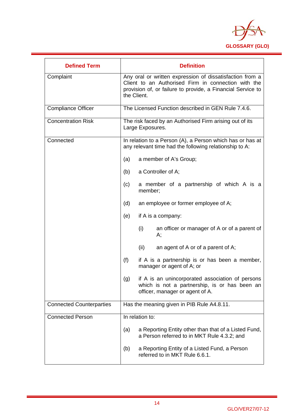

| <b>Defined Term</b>             | <b>Definition</b>                                                                                                                                                                             |
|---------------------------------|-----------------------------------------------------------------------------------------------------------------------------------------------------------------------------------------------|
| Complaint                       | Any oral or written expression of dissatisfaction from a<br>Client to an Authorised Firm in connection with the<br>provision of, or failure to provide, a Financial Service to<br>the Client. |
| <b>Compliance Officer</b>       | The Licensed Function described in GEN Rule 7.4.6.                                                                                                                                            |
| <b>Concentration Risk</b>       | The risk faced by an Authorised Firm arising out of its<br>Large Exposures.                                                                                                                   |
| Connected                       | In relation to a Person (A), a Person which has or has at<br>any relevant time had the following relationship to A:                                                                           |
|                                 | a member of A's Group;<br>(a)                                                                                                                                                                 |
|                                 | a Controller of A;<br>(b)                                                                                                                                                                     |
|                                 | a member of a partnership of which A is a<br>(c)<br>member;                                                                                                                                   |
|                                 | (d)<br>an employee or former employee of A;                                                                                                                                                   |
|                                 | (e)<br>if A is a company:                                                                                                                                                                     |
|                                 | (i)<br>an officer or manager of A or of a parent of<br>А;                                                                                                                                     |
|                                 | (ii)<br>an agent of A or of a parent of A;                                                                                                                                                    |
|                                 | (f)<br>if A is a partnership is or has been a member,<br>manager or agent of A; or                                                                                                            |
|                                 | if A is an unincorporated association of persons<br>(g)<br>which is not a partnership, is or has been an<br>officer, manager or agent of A.                                                   |
| <b>Connected Counterparties</b> | Has the meaning given in PIB Rule A4.8.11.                                                                                                                                                    |
| <b>Connected Person</b>         | In relation to:                                                                                                                                                                               |
|                                 | a Reporting Entity other than that of a Listed Fund,<br>(a)<br>a Person referred to in MKT Rule 4.3.2; and                                                                                    |
|                                 | a Reporting Entity of a Listed Fund, a Person<br>(b)<br>referred to in MKT Rule 6.6.1.                                                                                                        |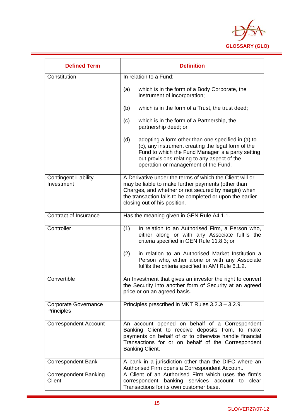

| <b>Defined Term</b>                       | <b>Definition</b>                                                                                                                                                                                                                                                  |
|-------------------------------------------|--------------------------------------------------------------------------------------------------------------------------------------------------------------------------------------------------------------------------------------------------------------------|
| Constitution                              | In relation to a Fund:                                                                                                                                                                                                                                             |
|                                           | (a)<br>which is in the form of a Body Corporate, the<br>instrument of incorporation;                                                                                                                                                                               |
|                                           | which is in the form of a Trust, the trust deed;<br>(b)                                                                                                                                                                                                            |
|                                           | (c)<br>which is in the form of a Partnership, the<br>partnership deed; or                                                                                                                                                                                          |
|                                           | (d)<br>adopting a form other than one specified in (a) to<br>(c), any instrument creating the legal form of the<br>Fund to which the Fund Manager is a party setting<br>out provisions relating to any aspect of the<br>operation or management of the Fund.       |
| <b>Contingent Liability</b><br>Investment | A Derivative under the terms of which the Client will or<br>may be liable to make further payments (other than<br>Charges, and whether or not secured by margin) when<br>the transaction falls to be completed or upon the earlier<br>closing out of his position. |
| Contract of Insurance                     | Has the meaning given in GEN Rule A4.1.1.                                                                                                                                                                                                                          |
| Controller                                | In relation to an Authorised Firm, a Person who,<br>(1)<br>either along or with any Associate fulfils the<br>criteria specified in GEN Rule 11.8.3; or                                                                                                             |
|                                           | (2)<br>in relation to an Authorised Market Institution a<br>Person who, either alone or with any Associate<br>fulfils the criteria specified in AMI Rule 6.1.2.                                                                                                    |
| Convertible                               | An Investment that gives an investor the right to convert<br>the Security into another form of Security at an agreed<br>price or on an agreed basis.                                                                                                               |
| <b>Corporate Governance</b><br>Principles | Principles prescribed in MKT Rules 3.2.3 - 3.2.9.                                                                                                                                                                                                                  |
| <b>Correspondent Account</b>              | An account opened on behalf of a Correspondent<br>Banking Client to receive deposits from, to make<br>payments on behalf of or to otherwise handle financial<br>Transactions for or on behalf of the Correspondent<br>Banking Client.                              |
| <b>Correspondent Bank</b>                 | A bank in a jurisdiction other than the DIFC where an<br>Authorised Firm opens a Correspondent Account.                                                                                                                                                            |
| <b>Correspondent Banking</b><br>Client    | A Client of an Authorised Firm which uses the firm's<br>correspondent banking services account to<br>clear<br>Transactions for its own customer base.                                                                                                              |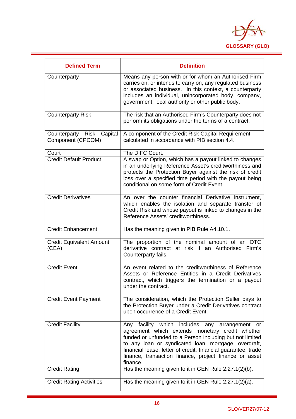

| <b>Defined Term</b>                            | <b>Definition</b>                                                                                                                                                                                                                                                                                                                                                           |
|------------------------------------------------|-----------------------------------------------------------------------------------------------------------------------------------------------------------------------------------------------------------------------------------------------------------------------------------------------------------------------------------------------------------------------------|
| Counterparty                                   | Means any person with or for whom an Authorised Firm<br>carries on, or intends to carry on, any regulated business<br>or associated business. In this context, a counterparty<br>includes an individual, unincorporated body, company,<br>government, local authority or other public body.                                                                                 |
| <b>Counterparty Risk</b>                       | The risk that an Authorised Firm's Counterparty does not<br>perform its obligations under the terms of a contract.                                                                                                                                                                                                                                                          |
| Counterparty Risk Capital<br>Component (CPCOM) | A component of the Credit Risk Capital Requirement<br>calculated in accordance with PIB section 4.4.                                                                                                                                                                                                                                                                        |
| Court                                          | The DIFC Court.                                                                                                                                                                                                                                                                                                                                                             |
| <b>Credit Default Product</b>                  | A swap or Option, which has a payout linked to changes<br>in an underlying Reference Asset's creditworthiness and<br>protects the Protection Buyer against the risk of credit<br>loss over a specified time period with the payout being<br>conditional on some form of Credit Event.                                                                                       |
| <b>Credit Derivatives</b>                      | An over the counter financial Derivative instrument,<br>which enables the isolation and separate transfer of<br>Credit Risk and whose payout is linked to changes in the<br>Reference Assets' creditworthiness.                                                                                                                                                             |
| <b>Credit Enhancement</b>                      | Has the meaning given in PIB Rule A4.10.1.                                                                                                                                                                                                                                                                                                                                  |
| <b>Credit Equivalent Amount</b><br>(CEA)       | The proportion of the nominal amount of an OTC<br>derivative contract at risk if an Authorised Firm's<br>Counterparty fails.                                                                                                                                                                                                                                                |
| <b>Credit Event</b>                            | An event related to the creditworthiness of Reference<br>Assets or Reference Entities in a Credit Derivatives<br>contract, which triggers the termination or a payout<br>under the contract.                                                                                                                                                                                |
| <b>Credit Event Payment</b>                    | The consideration, which the Protection Seller pays to<br>the Protection Buyer under a Credit Derivatives contract<br>upon occurrence of a Credit Event.                                                                                                                                                                                                                    |
| <b>Credit Facility</b>                         | facility<br>which includes<br>arrangement<br>Any<br>any<br>or<br>agreement which extends monetary credit whether<br>funded or unfunded to a Person including but not limited<br>to any loan or syndicated loan, mortgage, overdraft,<br>financial lease, letter of credit, financial guarantee, trade<br>finance, transaction finance, project finance or asset<br>finance. |
| <b>Credit Rating</b>                           | Has the meaning given to it in GEN Rule 2.27.1(2)(b).                                                                                                                                                                                                                                                                                                                       |
| <b>Credit Rating Activities</b>                | Has the meaning given to it in GEN Rule 2.27.1(2)(a).                                                                                                                                                                                                                                                                                                                       |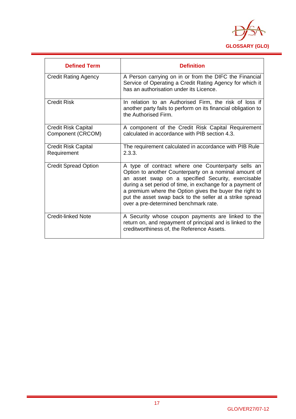

| <b>Defined Term</b>                             | <b>Definition</b>                                                                                                                                                                                                                                                                                                                                                                              |
|-------------------------------------------------|------------------------------------------------------------------------------------------------------------------------------------------------------------------------------------------------------------------------------------------------------------------------------------------------------------------------------------------------------------------------------------------------|
| <b>Credit Rating Agency</b>                     | A Person carrying on in or from the DIFC the Financial<br>Service of Operating a Credit Rating Agency for which it<br>has an authorisation under its Licence.                                                                                                                                                                                                                                  |
| <b>Credit Risk</b>                              | In relation to an Authorised Firm, the risk of loss if<br>another party fails to perform on its financial obligation to<br>the Authorised Firm.                                                                                                                                                                                                                                                |
| <b>Credit Risk Capital</b><br>Component (CRCOM) | A component of the Credit Risk Capital Requirement<br>calculated in accordance with PIB section 4.3.                                                                                                                                                                                                                                                                                           |
| <b>Credit Risk Capital</b><br>Requirement       | The requirement calculated in accordance with PIB Rule<br>2.3.3.                                                                                                                                                                                                                                                                                                                               |
| <b>Credit Spread Option</b>                     | A type of contract where one Counterparty sells an<br>Option to another Counterparty on a nominal amount of<br>an asset swap on a specified Security, exercisable<br>during a set period of time, in exchange for a payment of<br>a premium where the Option gives the buyer the right to<br>put the asset swap back to the seller at a strike spread<br>over a pre-determined benchmark rate. |
| <b>Credit-linked Note</b>                       | A Security whose coupon payments are linked to the<br>return on, and repayment of principal and is linked to the<br>creditworthiness of, the Reference Assets.                                                                                                                                                                                                                                 |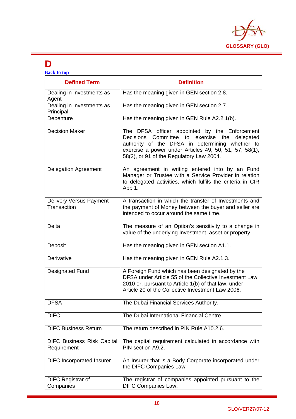

### **D**

| <b>Back to top</b>                               |                                                                                                                                                                                                                                                            |  |
|--------------------------------------------------|------------------------------------------------------------------------------------------------------------------------------------------------------------------------------------------------------------------------------------------------------------|--|
| <b>Defined Term</b>                              | <b>Definition</b>                                                                                                                                                                                                                                          |  |
| Dealing in Investments as<br>Agent               | Has the meaning given in GEN section 2.8.                                                                                                                                                                                                                  |  |
| Dealing in Investments as<br>Principal           | Has the meaning given in GEN section 2.7.                                                                                                                                                                                                                  |  |
| Debenture                                        | Has the meaning given in GEN Rule A2.2.1(b).                                                                                                                                                                                                               |  |
| <b>Decision Maker</b>                            | The DFSA officer appointed by the Enforcement<br>Decisions Committee to exercise the<br>delegated<br>authority of the DFSA in determining whether to<br>exercise a power under Articles 49, 50, 51, 57, 58(1),<br>58(2), or 91 of the Regulatory Law 2004. |  |
| <b>Delegation Agreement</b>                      | An agreement in writing entered into by an Fund<br>Manager or Trustee with a Service Provider in relation<br>to delegated activities, which fulfils the criteria in CIR<br>App 1.                                                                          |  |
| <b>Delivery Versus Payment</b><br>Transaction    | A transaction in which the transfer of Investments and<br>the payment of Money between the buyer and seller are<br>intended to occur around the same time.                                                                                                 |  |
| <b>Delta</b>                                     | The measure of an Option's sensitivity to a change in<br>value of the underlying Investment, asset or property.                                                                                                                                            |  |
| Deposit                                          | Has the meaning given in GEN section A1.1.                                                                                                                                                                                                                 |  |
| Derivative                                       | Has the meaning given in GEN Rule A2.1.3.                                                                                                                                                                                                                  |  |
| Designated Fund                                  | A Foreign Fund which has been designated by the<br>DFSA under Article 55 of the Collective Investment Law<br>2010 or, pursuant to Article 1(b) of that law, under<br>Article 20 of the Collective Investment Law 2006.                                     |  |
| <b>DFSA</b>                                      | The Dubai Financial Services Authority.                                                                                                                                                                                                                    |  |
| <b>DIFC</b>                                      | The Dubai International Financial Centre.                                                                                                                                                                                                                  |  |
| <b>DIFC Business Return</b>                      | The return described in PIN Rule A10.2.6.                                                                                                                                                                                                                  |  |
| <b>DIFC Business Risk Capital</b><br>Requirement | The capital requirement calculated in accordance with<br>PIN section A9.2.                                                                                                                                                                                 |  |
| <b>DIFC</b> Incorporated Insurer                 | An Insurer that is a Body Corporate incorporated under<br>the DIFC Companies Law.                                                                                                                                                                          |  |
| <b>DIFC Registrar of</b><br>Companies            | The registrar of companies appointed pursuant to the<br><b>DIFC Companies Law.</b>                                                                                                                                                                         |  |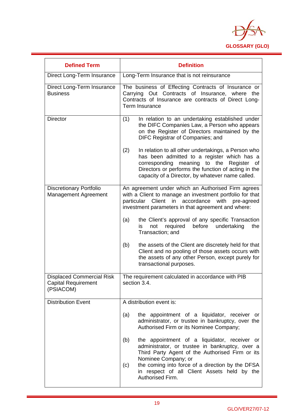

| <b>Defined Term</b>                                                         | <b>Definition</b>                                                                                                                                                                                                                                                |
|-----------------------------------------------------------------------------|------------------------------------------------------------------------------------------------------------------------------------------------------------------------------------------------------------------------------------------------------------------|
| Direct Long-Term Insurance                                                  | Long-Term Insurance that is not reinsurance                                                                                                                                                                                                                      |
| Direct Long-Term Insurance<br><b>Business</b>                               | The business of Effecting Contracts of Insurance or<br>Carrying Out Contracts of Insurance, where the<br>Contracts of Insurance are contracts of Direct Long-<br><b>Term Insurance</b>                                                                           |
| <b>Director</b>                                                             | (1)<br>In relation to an undertaking established under<br>the DIFC Companies Law, a Person who appears<br>on the Register of Directors maintained by the<br>DIFC Registrar of Companies; and                                                                     |
|                                                                             | (2)<br>In relation to all other undertakings, a Person who<br>has been admitted to a register which has a<br>corresponding meaning to the Register of<br>Directors or performs the function of acting in the<br>capacity of a Director, by whatever name called. |
| <b>Discretionary Portfolio</b><br>Management Agreement                      | An agreement under which an Authorised Firm agrees<br>with a Client to manage an investment portfolio for that<br>particular Client in accordance<br>with<br>pre-agreed<br>investment parameters in that agreement and where:                                    |
|                                                                             | (a)<br>the Client's approval of any specific Transaction<br>undertaking<br>required<br>before<br>not<br>the<br>is<br>Transaction; and                                                                                                                            |
|                                                                             | (b)<br>the assets of the Client are discretely held for that<br>Client and no pooling of those assets occurs with<br>the assets of any other Person, except purely for<br>transactional purposes.                                                                |
| <b>Displaced Commercial Risk</b><br><b>Capital Requirement</b><br>(PSIACOM) | The requirement calculated in accordance with PIB<br>section 3.4.                                                                                                                                                                                                |
| <b>Distribution Event</b>                                                   | A distribution event is:                                                                                                                                                                                                                                         |
|                                                                             | (a)<br>the appointment of a liquidator, receiver or<br>administrator, or trustee in bankruptcy, over the<br>Authorised Firm or its Nominee Company;                                                                                                              |
|                                                                             | the appointment of a liquidator, receiver or<br>(b)<br>administrator, or trustee in bankruptcy, over a<br>Third Party Agent of the Authorised Firm or its<br>Nominee Company; or<br>the coming into force of a direction by the DFSA                             |
|                                                                             | (c)<br>in respect of all Client Assets held by the<br>Authorised Firm.                                                                                                                                                                                           |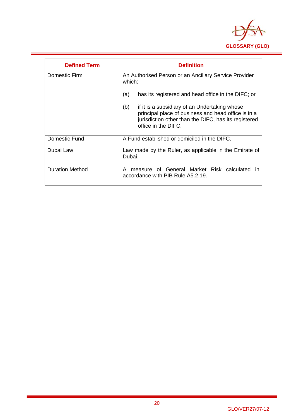

| <b>Defined Term</b>    | <b>Definition</b>                                                                                                                                                                          |
|------------------------|--------------------------------------------------------------------------------------------------------------------------------------------------------------------------------------------|
| Domestic Firm          | An Authorised Person or an Ancillary Service Provider<br>which:                                                                                                                            |
|                        | has its registered and head office in the DIFC; or<br>(a)                                                                                                                                  |
|                        | (b)<br>if it is a subsidiary of an Undertaking whose<br>principal place of business and head office is in a<br>jurisdiction other than the DIFC, has its registered<br>office in the DIFC. |
| Domestic Fund          | A Fund established or domiciled in the DIFC.                                                                                                                                               |
| Dubai Law              | Law made by the Ruler, as applicable in the Emirate of<br>Dubai.                                                                                                                           |
| <b>Duration Method</b> | measure of General Market Risk calculated<br>A<br>$\mathsf{I}$<br>accordance with PIB Rule A5.2.19.                                                                                        |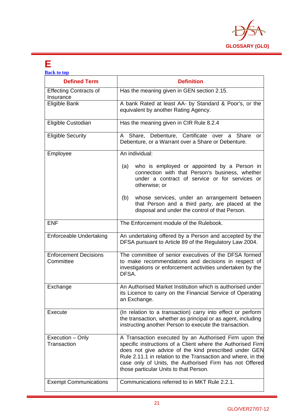

### **E**

H

| <b>Back to top</b>                         |                                                                                                                                                                                                                                                                                                                                                    |
|--------------------------------------------|----------------------------------------------------------------------------------------------------------------------------------------------------------------------------------------------------------------------------------------------------------------------------------------------------------------------------------------------------|
| <b>Defined Term</b>                        | <b>Definition</b>                                                                                                                                                                                                                                                                                                                                  |
| <b>Effecting Contracts of</b><br>Insurance | Has the meaning given in GEN section 2.15.                                                                                                                                                                                                                                                                                                         |
| Eligible Bank                              | A bank Rated at least AA- by Standard & Poor's, or the<br>equivalent by another Rating Agency.                                                                                                                                                                                                                                                     |
| Eligible Custodian                         | Has the meaning given in CIR Rule 8.2.4                                                                                                                                                                                                                                                                                                            |
| <b>Eligible Security</b>                   | Debenture, Certificate over a Share<br>Share,<br>A<br>or<br>Debenture, or a Warrant over a Share or Debenture.                                                                                                                                                                                                                                     |
| Employee                                   | An individual:                                                                                                                                                                                                                                                                                                                                     |
|                                            | who is employed or appointed by a Person in<br>(a)<br>connection with that Person's business, whether<br>under a contract of service or for services or<br>otherwise; or                                                                                                                                                                           |
|                                            | whose services, under an arrangement between<br>(b)<br>that Person and a third party, are placed at the<br>disposal and under the control of that Person.                                                                                                                                                                                          |
| <b>ENF</b>                                 | The Enforcement module of the Rulebook.                                                                                                                                                                                                                                                                                                            |
| <b>Enforceable Undertaking</b>             | An undertaking offered by a Person and accepted by the<br>DFSA pursuant to Article 89 of the Regulatory Law 2004.                                                                                                                                                                                                                                  |
| <b>Enforcement Decisions</b><br>Committee  | The committee of senior executives of the DFSA formed<br>to make recommendations and decisions in respect of<br>investigations or enforcement activities undertaken by the<br>DFSA.                                                                                                                                                                |
| Exchange                                   | An Authorised Market Institution which is authorised under<br>its Licence to carry on the Financial Service of Operating<br>an Exchange.                                                                                                                                                                                                           |
| Execute                                    | (In relation to a transaction) carry into effect or perform<br>the transaction, whether as principal or as agent, including<br>instructing another Person to execute the transaction.                                                                                                                                                              |
| Execution - Only<br>Transaction            | A Transaction executed by an Authorised Firm upon the<br>specific instructions of a Client where the Authorised Firm<br>does not give advice of the kind prescribed under GEN<br>Rule 2.11.1 in relation to the Transaction and where, in the<br>case only of Units, the Authorised Firm has not Offered<br>those particular Units to that Person. |
| <b>Exempt Communications</b>               | Communications referred to in MKT Rule 2.2.1.                                                                                                                                                                                                                                                                                                      |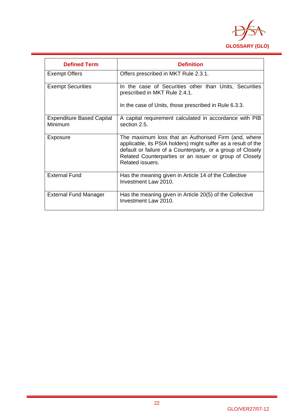

| <b>Defined Term</b>                         | <b>Definition</b>                                                                                                                                                                                                                                                   |
|---------------------------------------------|---------------------------------------------------------------------------------------------------------------------------------------------------------------------------------------------------------------------------------------------------------------------|
| <b>Exempt Offers</b>                        | Offers prescribed in MKT Rule 2.3.1.                                                                                                                                                                                                                                |
| <b>Exempt Securities</b>                    | In the case of Securities other than Units, Securities<br>prescribed in MKT Rule 2.4.1.                                                                                                                                                                             |
|                                             | In the case of Units, those prescribed in Rule 6.3.3.                                                                                                                                                                                                               |
| <b>Expenditure Based Capital</b><br>Minimum | A capital requirement calculated in accordance with PIB<br>section 2.5.                                                                                                                                                                                             |
| Exposure                                    | The maximum loss that an Authorised Firm (and, where<br>applicable, its PSIA holders) might suffer as a result of the<br>default or failure of a Counterparty, or a group of Closely<br>Related Counterparties or an issuer or group of Closely<br>Related issuers. |
| <b>External Fund</b>                        | Has the meaning given in Article 14 of the Collective<br>Investment Law 2010.                                                                                                                                                                                       |
| <b>External Fund Manager</b>                | Has the meaning given in Article 20(5) of the Collective<br>Investment Law 2010.                                                                                                                                                                                    |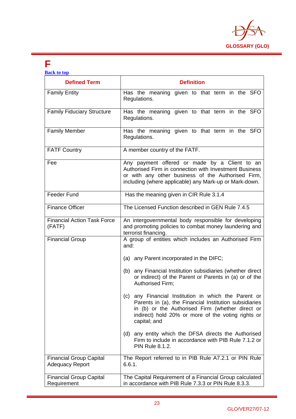

### **F**

| <b>Back to top</b>                                       |                                                                                                                                                                                                                                                                                                                                                                                                                                                                                                      |
|----------------------------------------------------------|------------------------------------------------------------------------------------------------------------------------------------------------------------------------------------------------------------------------------------------------------------------------------------------------------------------------------------------------------------------------------------------------------------------------------------------------------------------------------------------------------|
| <b>Defined Term</b>                                      | <b>Definition</b>                                                                                                                                                                                                                                                                                                                                                                                                                                                                                    |
| <b>Family Entity</b>                                     | Has the meaning given to that term in the SFO<br>Regulations.                                                                                                                                                                                                                                                                                                                                                                                                                                        |
| <b>Family Fiduciary Structure</b>                        | Has the meaning given to that term in the SFO<br>Regulations.                                                                                                                                                                                                                                                                                                                                                                                                                                        |
| <b>Family Member</b>                                     | Has the meaning given to that term in the SFO<br>Regulations.                                                                                                                                                                                                                                                                                                                                                                                                                                        |
| <b>FATF Country</b>                                      | A member country of the FATF.                                                                                                                                                                                                                                                                                                                                                                                                                                                                        |
| Fee                                                      | Any payment offered or made by a Client to an<br>Authorised Firm in connection with Investment Business<br>or with any other business of the Authorised Firm,<br>including (where applicable) any Mark-up or Mark-down.                                                                                                                                                                                                                                                                              |
| Feeder Fund                                              | Has the meaning given in CIR Rule 3.1.4                                                                                                                                                                                                                                                                                                                                                                                                                                                              |
| <b>Finance Officer</b>                                   | The Licensed Function described in GEN Rule 7.4.5                                                                                                                                                                                                                                                                                                                                                                                                                                                    |
| <b>Financial Action Task Force</b><br>(FATF)             | An intergovernmental body responsible for developing<br>and promoting policies to combat money laundering and<br>terrorist financing.                                                                                                                                                                                                                                                                                                                                                                |
| <b>Financial Group</b>                                   | A group of entities which includes an Authorised Firm<br>and:<br>(a) any Parent incorporated in the DIFC;<br>(b) any Financial Institution subsidiaries (whether direct<br>or indirect) of the Parent or Parents in (a) or of the<br>Authorised Firm;<br>any Financial Institution in which the Parent or<br>(c)<br>Parents in (a), the Financial Institution subsidiaries<br>in (b) or the Authorised Firm (whether direct or<br>indirect) hold 20% or more of the voting rights or<br>capital; and |
|                                                          | (d) any entity which the DFSA directs the Authorised<br>Firm to include in accordance with PIB Rule 7.1.2 or<br><b>PIN Rule 8.1.2.</b>                                                                                                                                                                                                                                                                                                                                                               |
| <b>Financial Group Capital</b><br><b>Adequacy Report</b> | The Report referred to in PIB Rule A7.2.1 or PIN Rule<br>6.6.1.                                                                                                                                                                                                                                                                                                                                                                                                                                      |
| <b>Financial Group Capital</b><br>Requirement            | The Capital Requirement of a Financial Group calculated<br>in accordance with PIB Rule 7.3.3 or PIN Rule 8.3.3.                                                                                                                                                                                                                                                                                                                                                                                      |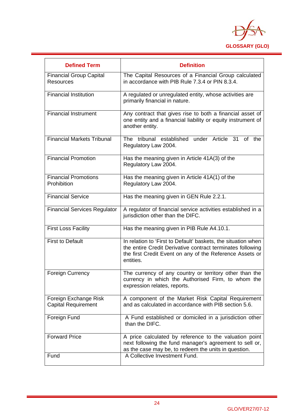

| <b>Defined Term</b>                                 | <b>Definition</b>                                                                                                                                                                                    |
|-----------------------------------------------------|------------------------------------------------------------------------------------------------------------------------------------------------------------------------------------------------------|
| <b>Financial Group Capital</b><br><b>Resources</b>  | The Capital Resources of a Financial Group calculated<br>in accordance with PIB Rule 7.3.4 or PIN 8.3.4.                                                                                             |
| <b>Financial Institution</b>                        | A regulated or unregulated entity, whose activities are<br>primarily financial in nature.                                                                                                            |
| <b>Financial Instrument</b>                         | Any contract that gives rise to both a financial asset of<br>one entity and a financial liability or equity instrument of<br>another entity.                                                         |
| <b>Financial Markets Tribunal</b>                   | The tribunal established under Article 31<br>0f<br>the<br>Regulatory Law 2004.                                                                                                                       |
| <b>Financial Promotion</b>                          | Has the meaning given in Article 41A(3) of the<br>Regulatory Law 2004.                                                                                                                               |
| <b>Financial Promotions</b><br>Prohibition          | Has the meaning given in Article 41A(1) of the<br>Regulatory Law 2004.                                                                                                                               |
| <b>Financial Service</b>                            | Has the meaning given in GEN Rule 2.2.1.                                                                                                                                                             |
| <b>Financial Services Regulator</b>                 | A regulator of financial service activities established in a<br>jurisdiction other than the DIFC.                                                                                                    |
| <b>First Loss Facility</b>                          | Has the meaning given in PIB Rule A4.10.1.                                                                                                                                                           |
| <b>First to Default</b>                             | In relation to 'First to Default' baskets, the situation when<br>the entire Credit Derivative contract terminates following<br>the first Credit Event on any of the Reference Assets or<br>entities. |
| <b>Foreign Currency</b>                             | The currency of any country or territory other than the<br>currency in which the Authorised Firm, to whom the<br>expression relates, reports.                                                        |
| Foreign Exchange Risk<br><b>Capital Requirement</b> | A component of the Market Risk Capital Requirement<br>and as calculated in accordance with PIB section 5.6.                                                                                          |
| Foreign Fund                                        | A Fund established or domiciled in a jurisdiction other<br>than the DIFC.                                                                                                                            |
| <b>Forward Price</b>                                | A price calculated by reference to the valuation point<br>next following the fund manager's agreement to sell or,<br>as the case may be, to redeem the units in question.                            |
| Fund                                                | A Collective Investment Fund.                                                                                                                                                                        |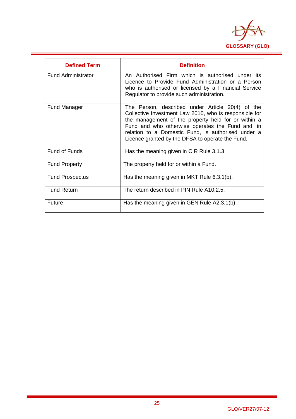

| <b>Defined Term</b>       | <b>Definition</b>                                                                                                                                                                                                                                                                                                               |
|---------------------------|---------------------------------------------------------------------------------------------------------------------------------------------------------------------------------------------------------------------------------------------------------------------------------------------------------------------------------|
| <b>Fund Administrator</b> | An Authorised Firm which is authorised under its<br>Licence to Provide Fund Administration or a Person<br>who is authorised or licensed by a Financial Service<br>Regulator to provide such administration.                                                                                                                     |
| <b>Fund Manager</b>       | The Person, described under Article 20(4) of the<br>Collective Investment Law 2010, who is responsible for<br>the management of the property held for or within a<br>Fund and who otherwise operates the Fund and, in<br>relation to a Domestic Fund, is authorised under a<br>Licence granted by the DFSA to operate the Fund. |
| <b>Fund of Funds</b>      | Has the meaning given in CIR Rule 3.1.3                                                                                                                                                                                                                                                                                         |
| <b>Fund Property</b>      | The property held for or within a Fund.                                                                                                                                                                                                                                                                                         |
| <b>Fund Prospectus</b>    | Has the meaning given in MKT Rule 6.3.1(b).                                                                                                                                                                                                                                                                                     |
| <b>Fund Return</b>        | The return described in PIN Rule A10.2.5.                                                                                                                                                                                                                                                                                       |
| Future                    | Has the meaning given in GEN Rule A2.3.1(b).                                                                                                                                                                                                                                                                                    |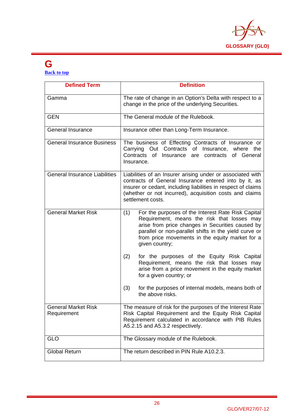

### **G**

**Back to top**

| <b>Defined Term</b>                       | <b>Definition</b>                                                                                                                                                                                                                                                                          |
|-------------------------------------------|--------------------------------------------------------------------------------------------------------------------------------------------------------------------------------------------------------------------------------------------------------------------------------------------|
| Gamma                                     | The rate of change in an Option's Delta with respect to a<br>change in the price of the underlying Securities.                                                                                                                                                                             |
| <b>GEN</b>                                | The General module of the Rulebook.                                                                                                                                                                                                                                                        |
| General Insurance                         | Insurance other than Long-Term Insurance.                                                                                                                                                                                                                                                  |
| <b>General Insurance Business</b>         | The business of Effecting Contracts of Insurance or<br>Carrying Out Contracts of<br>Insurance, where the<br>Contracts<br>of Insurance<br>contracts<br>of General<br>are<br>Insurance.                                                                                                      |
| <b>General Insurance Liabilities</b>      | Liabilities of an Insurer arising under or associated with<br>contracts of General Insurance entered into by it, as<br>insurer or cedant, including liabilities in respect of claims<br>(whether or not incurred), acquisition costs and claims<br>settlement costs.                       |
| <b>General Market Risk</b>                | For the purposes of the Interest Rate Risk Capital<br>(1)<br>Requirement, means the risk that losses may<br>arise from price changes in Securities caused by<br>parallel or non-parallel shifts in the yield curve or<br>from price movements in the equity market for a<br>given country; |
|                                           | for the purposes of the Equity Risk Capital<br>(2)<br>Requirement, means the risk that losses may<br>arise from a price movement in the equity market<br>for a given country; or                                                                                                           |
|                                           | (3)<br>for the purposes of internal models, means both of<br>the above risks.                                                                                                                                                                                                              |
| <b>General Market Risk</b><br>Requirement | The measure of risk for the purposes of the Interest Rate<br>Risk Capital Requirement and the Equity Risk Capital<br>Requirement calculated in accordance with PIB Rules<br>A5.2.15 and A5.3.2 respectively.                                                                               |
| <b>GLO</b>                                | The Glossary module of the Rulebook.                                                                                                                                                                                                                                                       |
| <b>Global Return</b>                      | The return described in PIN Rule A10.2.3.                                                                                                                                                                                                                                                  |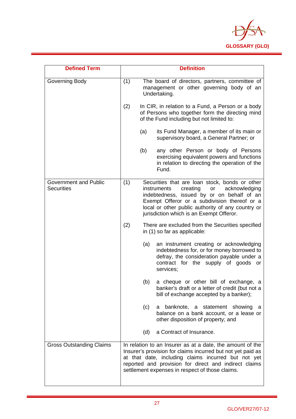

| <b>Defined Term</b>                               | <b>Definition</b>                                                                                                                                                                                                                                                                                             |
|---------------------------------------------------|---------------------------------------------------------------------------------------------------------------------------------------------------------------------------------------------------------------------------------------------------------------------------------------------------------------|
| Governing Body                                    | (1)<br>The board of directors, partners, committee of<br>management or other governing body of an<br>Undertaking.                                                                                                                                                                                             |
|                                                   | (2)<br>In CIR, in relation to a Fund, a Person or a body<br>of Persons who together form the directing mind<br>of the Fund including but not limited to:                                                                                                                                                      |
|                                                   | its Fund Manager, a member of its main or<br>(a)<br>supervisory board, a General Partner; or                                                                                                                                                                                                                  |
|                                                   | (b)<br>any other Person or body of Persons<br>exercising equivalent powers and functions<br>in relation to directing the operation of the<br>Fund.                                                                                                                                                            |
| <b>Government and Public</b><br><b>Securities</b> | (1)<br>Securities that are loan stock, bonds or other<br>acknowledging<br><i>instruments</i><br>creating<br>or<br>indebtedness, issued by or on behalf of an<br>Exempt Offeror or a subdivision thereof or a<br>local or other public authority of any country or<br>jurisdiction which is an Exempt Offeror. |
|                                                   | (2)<br>There are excluded from the Securities specified<br>in (1) so far as applicable:                                                                                                                                                                                                                       |
|                                                   | an instrument creating or acknowledging<br>(a)<br>indebtedness for, or for money borrowed to<br>defray, the consideration payable under a<br>contract for the supply of goods or<br>services;                                                                                                                 |
|                                                   | (b)<br>a cheque or other bill of exchange, a<br>banker's draft or a letter of credit (but not a<br>bill of exchange accepted by a banker);                                                                                                                                                                    |
|                                                   | (c)<br>banknote, a statement showing<br>a<br>а<br>balance on a bank account, or a lease or<br>other disposition of property; and                                                                                                                                                                              |
|                                                   | a Contract of Insurance.<br>(d)                                                                                                                                                                                                                                                                               |
| <b>Gross Outstanding Claims</b>                   | In relation to an Insurer as at a date, the amount of the<br>Insurer's provision for claims incurred but not yet paid as<br>at that date, including claims incurred but not yet<br>reported and provision for direct and indirect claims<br>settlement expenses in respect of those claims.                   |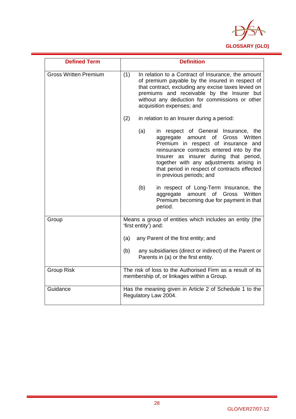

| <b>Defined Term</b>          | <b>Definition</b>                                                                                                                                                                                                                                                                                                                            |
|------------------------------|----------------------------------------------------------------------------------------------------------------------------------------------------------------------------------------------------------------------------------------------------------------------------------------------------------------------------------------------|
| <b>Gross Written Premium</b> | (1)<br>In relation to a Contract of Insurance, the amount<br>of premium payable by the insured in respect of<br>that contract, excluding any excise taxes levied on<br>premiums and receivable by the Insurer but<br>without any deduction for commissions or other<br>acquisition expenses; and                                             |
|                              | (2)<br>in relation to an Insurer during a period:                                                                                                                                                                                                                                                                                            |
|                              | (a)<br>in respect of General Insurance, the<br>amount of<br>Gross Written<br>aggregate<br>Premium in respect of insurance and<br>reinsurance contracts entered into by the<br>Insurer as insurer during that period,<br>together with any adjustments arising in<br>that period in respect of contracts effected<br>in previous periods; and |
|                              | (b)<br>in respect of Long-Term Insurance, the<br>aggregate amount of Gross Written<br>Premium becoming due for payment in that<br>period.                                                                                                                                                                                                    |
| Group                        | Means a group of entities which includes an entity (the<br>'first entity') and:                                                                                                                                                                                                                                                              |
|                              | any Parent of the first entity; and<br>(a)                                                                                                                                                                                                                                                                                                   |
|                              | any subsidiaries (direct or indirect) of the Parent or<br>(b)<br>Parents in (a) or the first entity.                                                                                                                                                                                                                                         |
| <b>Group Risk</b>            | The risk of loss to the Authorised Firm as a result of its<br>membership of, or linkages within a Group.                                                                                                                                                                                                                                     |
| Guidance                     | Has the meaning given in Article 2 of Schedule 1 to the<br>Regulatory Law 2004.                                                                                                                                                                                                                                                              |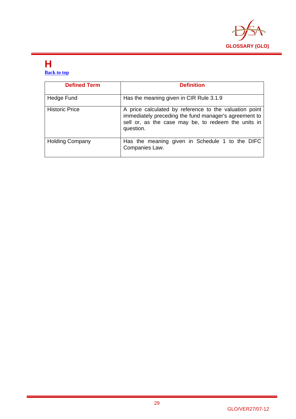

#### **H Back to top**

| <b>Defined Term</b>    | <b>Definition</b>                                                                                                                                                                   |
|------------------------|-------------------------------------------------------------------------------------------------------------------------------------------------------------------------------------|
| Hedge Fund             | Has the meaning given in CIR Rule 3.1.9                                                                                                                                             |
| <b>Historic Price</b>  | A price calculated by reference to the valuation point<br>immediately preceding the fund manager's agreement to<br>sell or, as the case may be, to redeem the units in<br>question. |
| <b>Holding Company</b> | Has the meaning given in Schedule 1 to the DIFC<br>Companies Law.                                                                                                                   |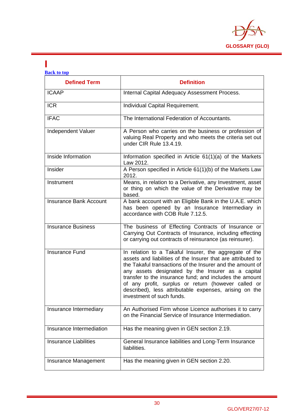

### **I**

| <b>Back to top</b>            |                                                                                                                                                                                                                                                                                                                                                                                                                                                   |
|-------------------------------|---------------------------------------------------------------------------------------------------------------------------------------------------------------------------------------------------------------------------------------------------------------------------------------------------------------------------------------------------------------------------------------------------------------------------------------------------|
| <b>Defined Term</b>           | <b>Definition</b>                                                                                                                                                                                                                                                                                                                                                                                                                                 |
| <b>ICAAP</b>                  | Internal Capital Adequacy Assessment Process.                                                                                                                                                                                                                                                                                                                                                                                                     |
| <b>ICR</b>                    | Individual Capital Requirement.                                                                                                                                                                                                                                                                                                                                                                                                                   |
| <b>IFAC</b>                   | The International Federation of Accountants.                                                                                                                                                                                                                                                                                                                                                                                                      |
| Independent Valuer            | A Person who carries on the business or profession of<br>valuing Real Property and who meets the criteria set out<br>under CIR Rule 13.4.19.                                                                                                                                                                                                                                                                                                      |
| Inside Information            | Information specified in Article 61(1)(a) of the Markets<br>Law 2012.                                                                                                                                                                                                                                                                                                                                                                             |
| Insider                       | A Person specified in Article 61(1)(b) of the Markets Law<br>2012.                                                                                                                                                                                                                                                                                                                                                                                |
| Instrument                    | Means, in relation to a Derivative, any Investment, asset<br>or thing on which the value of the Derivative may be<br>based.                                                                                                                                                                                                                                                                                                                       |
| <b>Insurance Bank Account</b> | A bank account with an Eligible Bank in the U.A.E. which<br>has been opened by an Insurance Intermediary in<br>accordance with COB Rule 7.12.5.                                                                                                                                                                                                                                                                                                   |
| <b>Insurance Business</b>     | The business of Effecting Contracts of Insurance or<br>Carrying Out Contracts of Insurance, including effecting<br>or carrying out contracts of reinsurance (as reinsurer).                                                                                                                                                                                                                                                                       |
| <b>Insurance Fund</b>         | In relation to a Takaful Insurer, the aggregate of the<br>assets and liabilities of the Insurer that are attributed to<br>the Takaful transactions of the Insurer and the amount of<br>any assets designated by the Insurer as a capital<br>transfer to the insurance fund; and includes the amount<br>of any profit, surplus or return (however called or<br>described), less attributable expenses, arising on the<br>investment of such funds. |
| Insurance Intermediary        | An Authorised Firm whose Licence authorises it to carry<br>on the Financial Service of Insurance Intermediation.                                                                                                                                                                                                                                                                                                                                  |
| Insurance Intermediation      | Has the meaning given in GEN section 2.19.                                                                                                                                                                                                                                                                                                                                                                                                        |
| <b>Insurance Liabilities</b>  | General Insurance liabilities and Long-Term Insurance<br>liabilities.                                                                                                                                                                                                                                                                                                                                                                             |
| Insurance Management          | Has the meaning given in GEN section 2.20.                                                                                                                                                                                                                                                                                                                                                                                                        |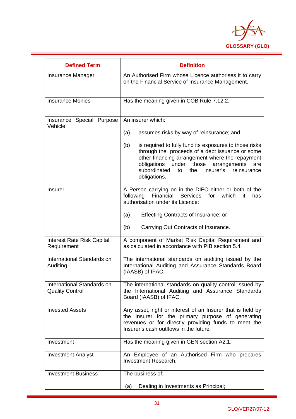

| <b>Defined Term</b>                                  | <b>Definition</b>                                                                                                                                                                                                                                                                                 |
|------------------------------------------------------|---------------------------------------------------------------------------------------------------------------------------------------------------------------------------------------------------------------------------------------------------------------------------------------------------|
| Insurance Manager                                    | An Authorised Firm whose Licence authorises it to carry<br>on the Financial Service of Insurance Management.                                                                                                                                                                                      |
| <b>Insurance Monies</b>                              | Has the meaning given in COB Rule 7.12.2.                                                                                                                                                                                                                                                         |
| Insurance Special Purpose<br>Vehicle                 | An insurer which:                                                                                                                                                                                                                                                                                 |
|                                                      | (a)<br>assumes risks by way of reinsurance; and                                                                                                                                                                                                                                                   |
|                                                      | is required to fully fund its exposures to those risks<br>(b)<br>through the proceeds of a debt issuance or some<br>other financing arrangement where the repayment<br>those<br>obligations<br>under<br>arrangements<br>are<br>subordinated<br>insurer's reinsurance<br>the<br>to<br>obligations. |
| <b>Insurer</b>                                       | A Person carrying on in the DIFC either or both of the<br>Financial<br><b>Services</b><br>following<br>for<br>which<br>it<br>has<br>authorisation under its Licence:                                                                                                                              |
|                                                      | Effecting Contracts of Insurance; or<br>(a)                                                                                                                                                                                                                                                       |
|                                                      | (b)<br>Carrying Out Contracts of Insurance.                                                                                                                                                                                                                                                       |
| <b>Interest Rate Risk Capital</b><br>Requirement     | A component of Market Risk Capital Requirement and<br>as calculated in accordance with PIB section 5.4.                                                                                                                                                                                           |
| International Standards on<br>Auditing               | The international standards on auditing issued by the<br>International Auditing and Assurance Standards Board<br>(IAASB) of IFAC.                                                                                                                                                                 |
| International Standards on<br><b>Quality Control</b> | The international standards on quality control issued by<br>the International Auditing and Assurance Standards<br>Board (IAASB) of IFAC.                                                                                                                                                          |
| <b>Invested Assets</b>                               | Any asset, right or interest of an Insurer that is held by<br>the Insurer for the primary purpose of generating<br>revenues or for directly providing funds to meet the<br>Insurer's cash outflows in the future.                                                                                 |
| Investment                                           | Has the meaning given in GEN section A2.1.                                                                                                                                                                                                                                                        |
| <b>Investment Analyst</b>                            | An Employee of an Authorised Firm who prepares<br>Investment Research.                                                                                                                                                                                                                            |
| <b>Investment Business</b>                           | The business of:                                                                                                                                                                                                                                                                                  |
|                                                      | Dealing in Investments as Principal;<br>(a)                                                                                                                                                                                                                                                       |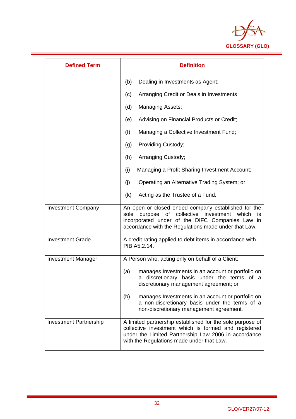

| <b>Defined Term</b>           | <b>Definition</b>                                                                                                                                                                                                      |
|-------------------------------|------------------------------------------------------------------------------------------------------------------------------------------------------------------------------------------------------------------------|
|                               | Dealing in Investments as Agent;<br>(b)                                                                                                                                                                                |
|                               | Arranging Credit or Deals in Investments<br>(c)                                                                                                                                                                        |
|                               | (d)<br>Managing Assets;                                                                                                                                                                                                |
|                               | Advising on Financial Products or Credit;<br>(e)                                                                                                                                                                       |
|                               | (f)<br>Managing a Collective Investment Fund;                                                                                                                                                                          |
|                               | Providing Custody;<br>(g)                                                                                                                                                                                              |
|                               | (h)<br>Arranging Custody;                                                                                                                                                                                              |
|                               | (i)<br>Managing a Profit Sharing Investment Account;                                                                                                                                                                   |
|                               | (j)<br>Operating an Alternative Trading System; or                                                                                                                                                                     |
|                               | (k)<br>Acting as the Trustee of a Fund.                                                                                                                                                                                |
| <b>Investment Company</b>     | An open or closed ended company established for the<br>purpose of collective investment which<br>sole<br>is<br>incorporated under of the DIFC Companies Law in<br>accordance with the Regulations made under that Law. |
| <b>Investment Grade</b>       | A credit rating applied to debt items in accordance with<br>PIB A5.2.14.                                                                                                                                               |
| <b>Investment Manager</b>     | A Person who, acting only on behalf of a Client:                                                                                                                                                                       |
|                               | manages Investments in an account or portfolio on<br>(a)<br>discretionary basis under the terms of a<br>a<br>discretionary management agreement; or                                                                    |
|                               | (b)<br>manages Investments in an account or portfolio on<br>a non-discretionary basis under the terms of a<br>non-discretionary management agreement.                                                                  |
| <b>Investment Partnership</b> | A limited partnership established for the sole purpose of<br>collective investment which is formed and registered<br>under the Limited Partnership Law 2006 in accordance<br>with the Regulations made under that Law. |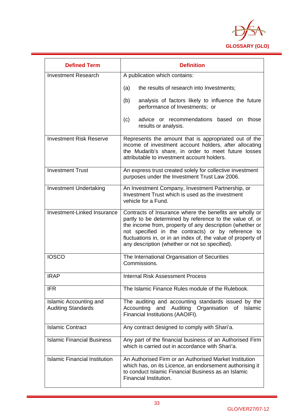

| <b>Defined Term</b>                                        | <b>Definition</b>                                                                                                                                                                                                                                                                                                                                       |
|------------------------------------------------------------|---------------------------------------------------------------------------------------------------------------------------------------------------------------------------------------------------------------------------------------------------------------------------------------------------------------------------------------------------------|
| Investment Research                                        | A publication which contains:                                                                                                                                                                                                                                                                                                                           |
|                                                            | the results of research into Investments;<br>(a)                                                                                                                                                                                                                                                                                                        |
|                                                            | analysis of factors likely to influence the future<br>(b)<br>performance of Investments; or                                                                                                                                                                                                                                                             |
|                                                            | advice or recommendations based on those<br>(c)<br>results or analysis.                                                                                                                                                                                                                                                                                 |
| <b>Investment Risk Reserve</b>                             | Represents the amount that is appropriated out of the<br>income of investment account holders, after allocating<br>the Mudarib's share, in order to meet future losses<br>attributable to investment account holders.                                                                                                                                   |
| <b>Investment Trust</b>                                    | An express trust created solely for collective investment<br>purposes under the Investment Trust Law 2006.                                                                                                                                                                                                                                              |
| <b>Investment Undertaking</b>                              | An Investment Company, Investment Partnership, or<br>Investment Trust which is used as the investment<br>vehicle for a Fund.                                                                                                                                                                                                                            |
| Investment-Linked Insurance                                | Contracts of Insurance where the benefits are wholly or<br>partly to be determined by reference to the value of, or<br>the income from, property of any description (whether or<br>not specified in the contracts) or by reference to<br>fluctuations in, or in an index of, the value of property of<br>any description (whether or not so specified). |
| <b>IOSCO</b>                                               | The International Organisation of Securities<br>Commissions.                                                                                                                                                                                                                                                                                            |
| <b>IRAP</b>                                                | <b>Internal Risk Assessment Process</b>                                                                                                                                                                                                                                                                                                                 |
| <b>IFR</b>                                                 | The Islamic Finance Rules module of the Rulebook.                                                                                                                                                                                                                                                                                                       |
| <b>Islamic Accounting and</b><br><b>Auditing Standards</b> | The auditing and accounting standards issued by the<br>Auditing<br>Accounting<br>and<br>Organisation of<br>Islamic<br>Financial Institutions (AAOIFI).                                                                                                                                                                                                  |
| <b>Islamic Contract</b>                                    | Any contract designed to comply with Shari'a.                                                                                                                                                                                                                                                                                                           |
| <b>Islamic Financial Business</b>                          | Any part of the financial business of an Authorised Firm<br>which is carried out in accordance with Shari'a.                                                                                                                                                                                                                                            |
| <b>Islamic Financial Institution</b>                       | An Authorised Firm or an Authorised Market Institution<br>which has, on its Licence, an endorsement authorising it<br>to conduct Islamic Financial Business as an Islamic<br>Financial Institution.                                                                                                                                                     |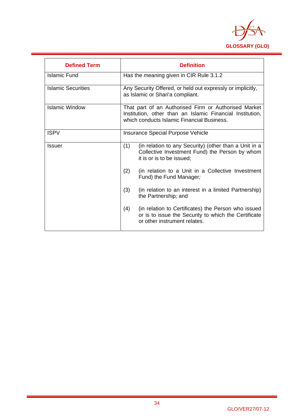

| <b>Defined Term</b>       | <b>Definition</b>                                                                                                                                               |
|---------------------------|-----------------------------------------------------------------------------------------------------------------------------------------------------------------|
| Islamic Fund              | Has the meaning given in CIR Rule 3.1.2                                                                                                                         |
| <b>Islamic Securities</b> | Any Security Offered, or held out expressly or implicitly,<br>as Islamic or Shari'a compliant.                                                                  |
| <b>Islamic Window</b>     | That part of an Authorised Firm or Authorised Market<br>Institution, other than an Islamic Financial Institution,<br>which conducts Islamic Financial Business. |
| <b>ISPV</b>               | Insurance Special Purpose Vehicle                                                                                                                               |
| <b>Issuer</b>             | (in relation to any Security) (other than a Unit in a<br>(1)<br>Collective Investment Fund) the Person by whom<br>it is or is to be issued;                     |
|                           | (2)<br>(in relation to a Unit in a Collective Investment<br>Fund) the Fund Manager;                                                                             |
|                           | (3)<br>(in relation to an interest in a limited Partnership)<br>the Partnership; and                                                                            |
|                           | (4)<br>(in relation to Certificates) the Person who issued<br>or is to issue the Security to which the Certificate<br>or other instrument relates.              |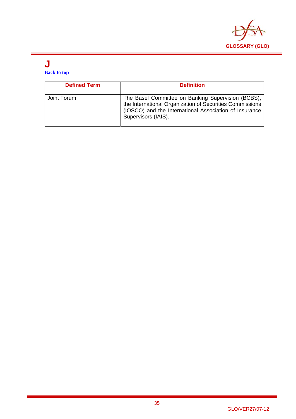

#### **J Back to top**

| <b>Defined Term</b> | <b>Definition</b>                                                                                                                                                                               |
|---------------------|-------------------------------------------------------------------------------------------------------------------------------------------------------------------------------------------------|
| Joint Forum         | The Basel Committee on Banking Supervision (BCBS),<br>the International Organization of Securities Commissions<br>(IOSCO) and the International Association of Insurance<br>Supervisors (IAIS). |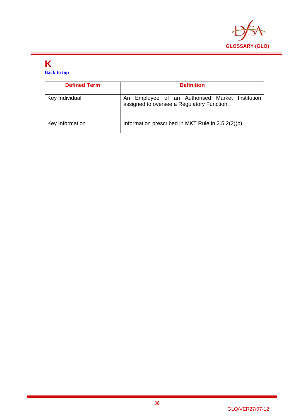

#### **K Back to top**

| <b>Defined Term</b> | <b>Definition</b>                                                                             |
|---------------------|-----------------------------------------------------------------------------------------------|
| Key Individual      | An Employee of an Authorised Market Institution<br>assigned to oversee a Regulatory Function. |
| Key Information     | Information prescribed in MKT Rule in 2.5.2(2)(b).                                            |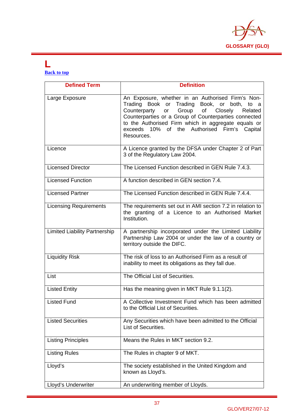

#### **L Back to top**

| <b>Defined Term</b>                  | <b>Definition</b>                                                                                                                                                                                                                                                                                                                         |
|--------------------------------------|-------------------------------------------------------------------------------------------------------------------------------------------------------------------------------------------------------------------------------------------------------------------------------------------------------------------------------------------|
| Large Exposure                       | An Exposure, whether in an Authorised Firm's Non-<br>Trading Book or Trading Book, or both, to a<br>Group of<br>Counterparty or<br>Closely<br>Related<br>Counterparties or a Group of Counterparties connected<br>to the Authorised Firm which in aggregate equals or<br>exceeds 10% of the Authorised<br>Firm's<br>Capital<br>Resources. |
| Licence                              | A Licence granted by the DFSA under Chapter 2 of Part<br>3 of the Regulatory Law 2004.                                                                                                                                                                                                                                                    |
| <b>Licensed Director</b>             | The Licensed Function described in GEN Rule 7.4.3.                                                                                                                                                                                                                                                                                        |
| <b>Licensed Function</b>             | A function described in GEN section 7.4.                                                                                                                                                                                                                                                                                                  |
| <b>Licensed Partner</b>              | The Licensed Function described in GEN Rule 7.4.4.                                                                                                                                                                                                                                                                                        |
| <b>Licensing Requirements</b>        | The requirements set out in AMI section 7.2 in relation to<br>the granting of a Licence to an Authorised Market<br>Institution.                                                                                                                                                                                                           |
| <b>Limited Liability Partnership</b> | A partnership incorporated under the Limited Liability<br>Partnership Law 2004 or under the law of a country or<br>territory outside the DIFC.                                                                                                                                                                                            |
| <b>Liquidity Risk</b>                | The risk of loss to an Authorised Firm as a result of<br>inability to meet its obligations as they fall due.                                                                                                                                                                                                                              |
| List                                 | The Official List of Securities.                                                                                                                                                                                                                                                                                                          |
| <b>Listed Entity</b>                 | Has the meaning given in MKT Rule 9.1.1(2).                                                                                                                                                                                                                                                                                               |
| <b>Listed Fund</b>                   | A Collective Investment Fund which has been admitted<br>to the Official List of Securities.                                                                                                                                                                                                                                               |
| <b>Listed Securities</b>             | Any Securities which have been admitted to the Official<br>List of Securities.                                                                                                                                                                                                                                                            |
| <b>Listing Principles</b>            | Means the Rules in MKT section 9.2.                                                                                                                                                                                                                                                                                                       |
| <b>Listing Rules</b>                 | The Rules in chapter 9 of MKT.                                                                                                                                                                                                                                                                                                            |
| Lloyd's                              | The society established in the United Kingdom and<br>known as Lloyd's.                                                                                                                                                                                                                                                                    |
| Lloyd's Underwriter                  | An underwriting member of Lloyds.                                                                                                                                                                                                                                                                                                         |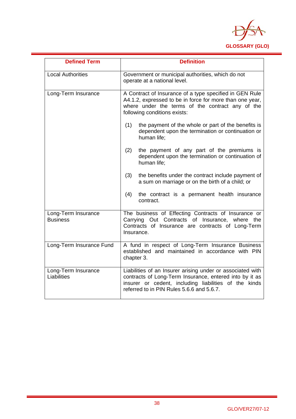

| <b>Defined Term</b>                    | <b>Definition</b>                                                                                                                                                                                                           |
|----------------------------------------|-----------------------------------------------------------------------------------------------------------------------------------------------------------------------------------------------------------------------------|
| <b>Local Authorities</b>               | Government or municipal authorities, which do not<br>operate at a national level.                                                                                                                                           |
| Long-Term Insurance                    | A Contract of Insurance of a type specified in GEN Rule<br>A4.1.2, expressed to be in force for more than one year,<br>where under the terms of the contract any of the<br>following conditions exists:                     |
|                                        | (1)<br>the payment of the whole or part of the benefits is<br>dependent upon the termination or continuation or<br>human life;                                                                                              |
|                                        | (2)<br>the payment of any part of the premiums is<br>dependent upon the termination or continuation of<br>human life;                                                                                                       |
|                                        | (3)<br>the benefits under the contract include payment of<br>a sum on marriage or on the birth of a child; or                                                                                                               |
|                                        | (4)<br>the contract is a permanent health insurance<br>contract.                                                                                                                                                            |
| Long-Term Insurance<br><b>Business</b> | The business of Effecting Contracts of Insurance or<br>Out Contracts of Insurance, where the<br>Carrying<br>Contracts of Insurance are contracts of Long-Term<br>Insurance.                                                 |
| Long-Term Insurance Fund               | A fund in respect of Long-Term Insurance Business<br>established and maintained in accordance with PIN<br>chapter 3.                                                                                                        |
| Long-Term Insurance<br>Liabilities     | Liabilities of an Insurer arising under or associated with<br>contracts of Long-Term Insurance, entered into by it as<br>insurer or cedent, including liabilities of the kinds<br>referred to in PIN Rules 5.6.6 and 5.6.7. |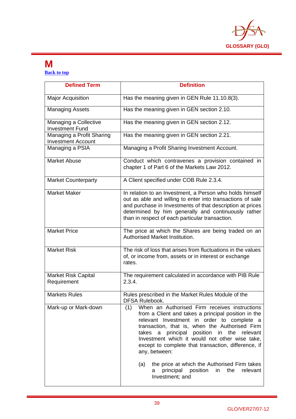

#### **M Back to top**

| <b>Defined Term</b>                                    | <b>Definition</b>                                                                                                                                                                                                                                                                                                                                                                                                                                                                                                           |
|--------------------------------------------------------|-----------------------------------------------------------------------------------------------------------------------------------------------------------------------------------------------------------------------------------------------------------------------------------------------------------------------------------------------------------------------------------------------------------------------------------------------------------------------------------------------------------------------------|
| <b>Major Acquisition</b>                               | Has the meaning given in GEN Rule 11.10.8(3).                                                                                                                                                                                                                                                                                                                                                                                                                                                                               |
| <b>Managing Assets</b>                                 | Has the meaning given in GEN section 2.10.                                                                                                                                                                                                                                                                                                                                                                                                                                                                                  |
| Managing a Collective<br><b>Investment Fund</b>        | Has the meaning given in GEN section 2.12.                                                                                                                                                                                                                                                                                                                                                                                                                                                                                  |
| Managing a Profit Sharing<br><b>Investment Account</b> | Has the meaning given in GEN section 2.21.                                                                                                                                                                                                                                                                                                                                                                                                                                                                                  |
| Managing a PSIA                                        | Managing a Profit Sharing Investment Account.                                                                                                                                                                                                                                                                                                                                                                                                                                                                               |
| <b>Market Abuse</b>                                    | Conduct which contravenes a provision contained in<br>chapter 1 of Part 6 of the Markets Law 2012.                                                                                                                                                                                                                                                                                                                                                                                                                          |
| <b>Market Counterparty</b>                             | A Client specified under COB Rule 2.3.4.                                                                                                                                                                                                                                                                                                                                                                                                                                                                                    |
| <b>Market Maker</b>                                    | In relation to an Investment, a Person who holds himself<br>out as able and willing to enter into transactions of sale<br>and purchase in Investments of that description at prices<br>determined by him generally and continuously rather<br>than in respect of each particular transaction.                                                                                                                                                                                                                               |
| <b>Market Price</b>                                    | The price at which the Shares are being traded on an<br>Authorised Market Institution.                                                                                                                                                                                                                                                                                                                                                                                                                                      |
| <b>Market Risk</b>                                     | The risk of loss that arises from fluctuations in the values<br>of, or income from, assets or in interest or exchange<br>rates.                                                                                                                                                                                                                                                                                                                                                                                             |
| Market Risk Capital<br>Requirement                     | The requirement calculated in accordance with PIB Rule<br>2.3.4.                                                                                                                                                                                                                                                                                                                                                                                                                                                            |
| <b>Markets Rules</b>                                   | Rules prescribed in the Market Rules Module of the<br><b>DFSA Rulebook.</b>                                                                                                                                                                                                                                                                                                                                                                                                                                                 |
| Mark-up or Mark-down                                   | When an Authorised Firm receives instructions<br>(1)<br>from a Client and takes a principal position in the<br>relevant Investment in order to complete a<br>transaction, that is, when the Authorised Firm<br>principal position in the relevant<br>takes<br>a<br>Investment which it would not other wise take,<br>except to complete that transaction, difference, if<br>any, between:<br>the price at which the Authorised Firm takes<br>(a)<br>position<br>the<br>relevant<br>principal<br>in.<br>а<br>Investment; and |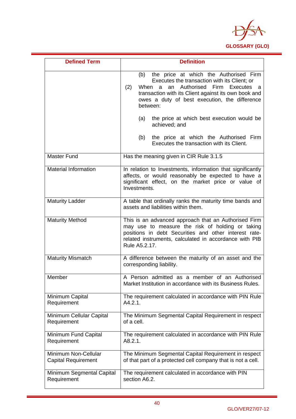

| <b>Defined Term</b>                                | <b>Definition</b>                                                                                                                                                                                                                                                                   |
|----------------------------------------------------|-------------------------------------------------------------------------------------------------------------------------------------------------------------------------------------------------------------------------------------------------------------------------------------|
|                                                    | the price at which the Authorised Firm<br>(b)<br>Executes the transaction with its Client; or<br>Authorised<br>(2)<br>When<br>Firm<br>Executes<br>an<br>a<br>a<br>transaction with its Client against its own book and<br>owes a duty of best execution, the difference<br>between: |
|                                                    | the price at which best execution would be<br>(a)<br>achieved; and                                                                                                                                                                                                                  |
|                                                    | the price at which the Authorised Firm<br>(b)<br>Executes the transaction with its Client.                                                                                                                                                                                          |
| <b>Master Fund</b>                                 | Has the meaning given in CIR Rule 3.1.5                                                                                                                                                                                                                                             |
| <b>Material Information</b>                        | In relation to Investments, information that significantly<br>affects, or would reasonably be expected to have a<br>significant effect, on the market price or value of<br>Investments.                                                                                             |
| <b>Maturity Ladder</b>                             | A table that ordinally ranks the maturity time bands and<br>assets and liabilities within them.                                                                                                                                                                                     |
| <b>Maturity Method</b>                             | This is an advanced approach that an Authorised Firm<br>may use to measure the risk of holding or taking<br>positions in debt Securities and other interest rate-<br>related instruments, calculated in accordance with PIB<br>Rule A5.2.17.                                        |
| <b>Maturity Mismatch</b>                           | A difference between the maturity of an asset and the<br>corresponding liability.                                                                                                                                                                                                   |
| Member                                             | A Person admitted as a member of an Authorised<br>Market Institution in accordance with its Business Rules.                                                                                                                                                                         |
| Minimum Capital<br>Requirement                     | The requirement calculated in accordance with PIN Rule<br>A4.2.1.                                                                                                                                                                                                                   |
| Minimum Cellular Capital<br>Requirement            | The Minimum Segmental Capital Requirement in respect<br>of a cell.                                                                                                                                                                                                                  |
| Minimum Fund Capital<br>Requirement                | The requirement calculated in accordance with PIN Rule<br>A8.2.1.                                                                                                                                                                                                                   |
| Minimum Non-Cellular<br><b>Capital Requirement</b> | The Minimum Segmental Capital Requirement in respect<br>of that part of a protected cell company that is not a cell.                                                                                                                                                                |
| Minimum Segmental Capital<br>Requirement           | The requirement calculated in accordance with PIN<br>section A6.2.                                                                                                                                                                                                                  |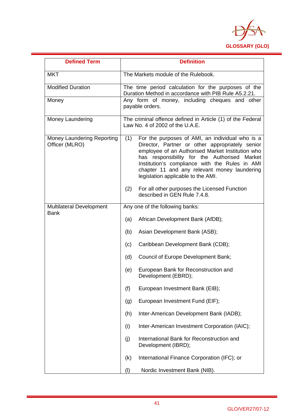

| <b>Defined Term</b>                            | <b>Definition</b>                                                                                                                                                                                                                                                                                                                                     |
|------------------------------------------------|-------------------------------------------------------------------------------------------------------------------------------------------------------------------------------------------------------------------------------------------------------------------------------------------------------------------------------------------------------|
| <b>MKT</b>                                     | The Markets module of the Rulebook.                                                                                                                                                                                                                                                                                                                   |
| <b>Modified Duration</b>                       | The time period calculation for the purposes of the<br>Duration Method in accordance with PIB Rule A5.2.21.                                                                                                                                                                                                                                           |
| Money                                          | Any form of money, including cheques and other<br>payable orders.                                                                                                                                                                                                                                                                                     |
| Money Laundering                               | The criminal offence defined in Article (1) of the Federal<br>Law No. 4 of 2002 of the U.A.E.                                                                                                                                                                                                                                                         |
| Money Laundering Reporting<br>Officer (MLRO)   | (1)<br>For the purposes of AMI, an individual who is a<br>Director, Partner or other appropriately senior<br>employee of an Authorised Market Institution who<br>has responsibility for the Authorised Market<br>Institution's compliance with the Rules in AMI<br>chapter 11 and any relevant money laundering<br>legislation applicable to the AMI. |
|                                                | For all other purposes the Licensed Function<br>(2)<br>described in GEN Rule 7.4.8.                                                                                                                                                                                                                                                                   |
| <b>Multilateral Development</b><br><b>Bank</b> | Any one of the following banks:                                                                                                                                                                                                                                                                                                                       |
|                                                | (a)<br>African Development Bank (AfDB);                                                                                                                                                                                                                                                                                                               |
|                                                | (b)<br>Asian Development Bank (ASB);                                                                                                                                                                                                                                                                                                                  |
|                                                | Caribbean Development Bank (CDB);<br>(c)                                                                                                                                                                                                                                                                                                              |
|                                                | (d)<br>Council of Europe Development Bank;                                                                                                                                                                                                                                                                                                            |
|                                                | European Bank for Reconstruction and<br>(e)<br>Development (EBRD);                                                                                                                                                                                                                                                                                    |
|                                                | (f)<br>European Investment Bank (EIB);                                                                                                                                                                                                                                                                                                                |
|                                                | European Investment Fund (EIF);<br>(g)                                                                                                                                                                                                                                                                                                                |
|                                                | Inter-American Development Bank (IADB);<br>(h)                                                                                                                                                                                                                                                                                                        |
|                                                | Inter-American Investment Corporation (IAIC);<br>(i)                                                                                                                                                                                                                                                                                                  |
|                                                | International Bank for Reconstruction and<br>(i)<br>Development (IBRD);                                                                                                                                                                                                                                                                               |
|                                                | International Finance Corporation (IFC); or<br>(k)                                                                                                                                                                                                                                                                                                    |
|                                                | Nordic Investment Bank (NIB).<br>(1)                                                                                                                                                                                                                                                                                                                  |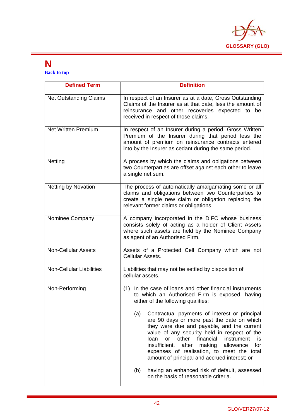

#### **N Back to top**

| <b>Defined Term</b>             | <b>Definition</b>                                                                                                                                                                                                                                                                                                                                                                                                                                                                                                                                                         |
|---------------------------------|---------------------------------------------------------------------------------------------------------------------------------------------------------------------------------------------------------------------------------------------------------------------------------------------------------------------------------------------------------------------------------------------------------------------------------------------------------------------------------------------------------------------------------------------------------------------------|
| <b>Net Outstanding Claims</b>   | In respect of an Insurer as at a date, Gross Outstanding<br>Claims of the Insurer as at that date, less the amount of<br>reinsurance and other recoveries expected to be<br>received in respect of those claims.                                                                                                                                                                                                                                                                                                                                                          |
| <b>Net Written Premium</b>      | In respect of an Insurer during a period, Gross Written<br>Premium of the Insurer during that period less the<br>amount of premium on reinsurance contracts entered<br>into by the Insurer as cedant during the same period.                                                                                                                                                                                                                                                                                                                                              |
| Netting                         | A process by which the claims and obligations between<br>two Counterparties are offset against each other to leave<br>a single net sum.                                                                                                                                                                                                                                                                                                                                                                                                                                   |
| <b>Netting by Novation</b>      | The process of automatically amalgamating some or all<br>claims and obligations between two Counterparties to<br>create a single new claim or obligation replacing the<br>relevant former claims or obligations.                                                                                                                                                                                                                                                                                                                                                          |
| Nominee Company                 | A company incorporated in the DIFC whose business<br>consists solely of acting as a holder of Client Assets<br>where such assets are held by the Nominee Company<br>as agent of an Authorised Firm.                                                                                                                                                                                                                                                                                                                                                                       |
| <b>Non-Cellular Assets</b>      | Assets of a Protected Cell Company which are not<br>Cellular Assets.                                                                                                                                                                                                                                                                                                                                                                                                                                                                                                      |
| <b>Non-Cellular Liabilities</b> | Liabilities that may not be settled by disposition of<br>cellular assets.                                                                                                                                                                                                                                                                                                                                                                                                                                                                                                 |
| Non-Performing                  | (1) In the case of loans and other financial instruments<br>to which an Authorised Firm is exposed, having<br>either of the following qualities:<br>(a)<br>Contractual payments of interest or principal<br>are 90 days or more past the date on which<br>they were due and payable, and the current<br>value of any security held in respect of the<br>other<br>financial<br>instrument<br>loan<br><b>or</b><br>is<br>insufficient,<br>after<br>making<br>for<br>allowance<br>expenses of realisation, to meet the total<br>amount of principal and accrued interest; or |
|                                 | having an enhanced risk of default, assessed<br>(b)<br>on the basis of reasonable criteria.                                                                                                                                                                                                                                                                                                                                                                                                                                                                               |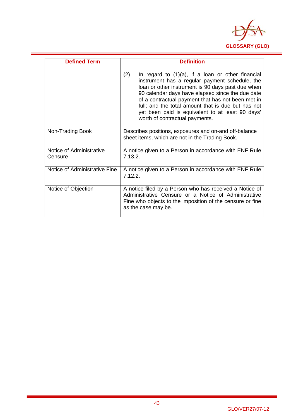

| <b>Defined Term</b>                 | <b>Definition</b>                                                                                                                                                                                                                                                                                                                                                                                                       |
|-------------------------------------|-------------------------------------------------------------------------------------------------------------------------------------------------------------------------------------------------------------------------------------------------------------------------------------------------------------------------------------------------------------------------------------------------------------------------|
|                                     | (2)<br>In regard to $(1)(a)$ , if a loan or other financial<br>instrument has a regular payment schedule, the<br>loan or other instrument is 90 days past due when<br>90 calendar days have elapsed since the due date<br>of a contractual payment that has not been met in<br>full; and the total amount that is due but has not<br>yet been paid is equivalent to at least 90 days'<br>worth of contractual payments. |
| Non-Trading Book                    | Describes positions, exposures and on-and off-balance<br>sheet items, which are not in the Trading Book.                                                                                                                                                                                                                                                                                                                |
| Notice of Administrative<br>Censure | A notice given to a Person in accordance with ENF Rule<br>7.13.2.                                                                                                                                                                                                                                                                                                                                                       |
| Notice of Administrative Fine       | A notice given to a Person in accordance with ENF Rule<br>7.12.2.                                                                                                                                                                                                                                                                                                                                                       |
| Notice of Objection                 | A notice filed by a Person who has received a Notice of<br>Administrative Censure or a Notice of Administrative<br>Fine who objects to the imposition of the censure or fine<br>as the case may be.                                                                                                                                                                                                                     |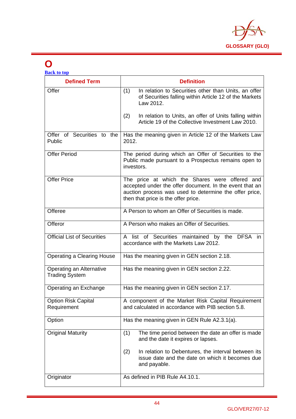

### **O**

| <b>Back to top</b>                                |                                                                                                                                                                                                                                 |
|---------------------------------------------------|---------------------------------------------------------------------------------------------------------------------------------------------------------------------------------------------------------------------------------|
| <b>Defined Term</b>                               | <b>Definition</b>                                                                                                                                                                                                               |
| Offer                                             | (1)<br>In relation to Securities other than Units, an offer<br>of Securities falling within Article 12 of the Markets<br>Law 2012.                                                                                              |
|                                                   | In relation to Units, an offer of Units falling within<br>(2)<br>Article 19 of the Collective Investment Law 2010.                                                                                                              |
| Offer of Securities to the<br>Public              | Has the meaning given in Article 12 of the Markets Law<br>2012.                                                                                                                                                                 |
| <b>Offer Period</b>                               | The period during which an Offer of Securities to the<br>Public made pursuant to a Prospectus remains open to<br>investors.                                                                                                     |
| <b>Offer Price</b>                                | The price at which the Shares were offered and<br>accepted under the offer document. In the event that an<br>auction process was used to determine the offer price,<br>then that price is the offer price.                      |
| Offeree                                           | A Person to whom an Offer of Securities is made.                                                                                                                                                                                |
| Offeror                                           | A Person who makes an Offer of Securities.                                                                                                                                                                                      |
| <b>Official List of Securities</b>                | A list of Securities maintained by the DFSA in<br>accordance with the Markets Law 2012.                                                                                                                                         |
| <b>Operating a Clearing House</b>                 | Has the meaning given in GEN section 2.18.                                                                                                                                                                                      |
| Operating an Alternative<br><b>Trading System</b> | Has the meaning given in GEN section 2.22.                                                                                                                                                                                      |
| Operating an Exchange                             | Has the meaning given in GEN section 2.17.                                                                                                                                                                                      |
| <b>Option Risk Capital</b><br>Requirement         | A component of the Market Risk Capital Requirement<br>and calculated in accordance with PIB section 5.8.                                                                                                                        |
| Option                                            | Has the meaning given in GEN Rule A2.3.1(a).                                                                                                                                                                                    |
| <b>Original Maturity</b>                          | The time period between the date an offer is made<br>(1)<br>and the date it expires or lapses.<br>(2)<br>In relation to Debentures, the interval between its<br>issue date and the date on which it becomes due<br>and payable. |
| Originator                                        | As defined in PIB Rule A4.10.1.                                                                                                                                                                                                 |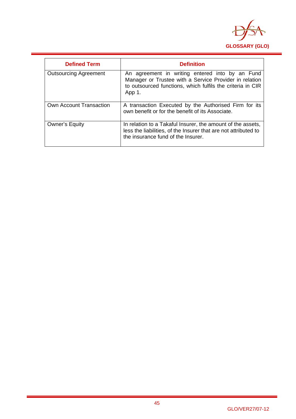

| <b>Defined Term</b>          | <b>Definition</b>                                                                                                                                                                 |
|------------------------------|-----------------------------------------------------------------------------------------------------------------------------------------------------------------------------------|
| <b>Outsourcing Agreement</b> | An agreement in writing entered into by an Fund<br>Manager or Trustee with a Service Provider in relation<br>to outsourced functions, which fulfils the criteria in CIR<br>App 1. |
| Own Account Transaction      | A transaction Executed by the Authorised Firm for its<br>own benefit or for the benefit of its Associate.                                                                         |
| Owner's Equity               | In relation to a Takaful Insurer, the amount of the assets,<br>less the liabilities, of the Insurer that are not attributed to<br>the insurance fund of the Insurer.              |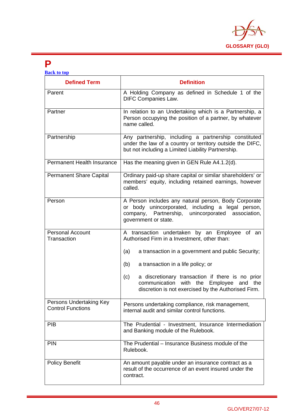

#### **P**

| <b>Back to top</b>                                  |                                                                                                                                                                                                 |
|-----------------------------------------------------|-------------------------------------------------------------------------------------------------------------------------------------------------------------------------------------------------|
| <b>Defined Term</b>                                 | <b>Definition</b>                                                                                                                                                                               |
| Parent                                              | A Holding Company as defined in Schedule 1 of the<br><b>DIFC Companies Law.</b>                                                                                                                 |
| Partner                                             | In relation to an Undertaking which is a Partnership, a<br>Person occupying the position of a partner, by whatever<br>name called.                                                              |
| Partnership                                         | Any partnership, including a partnership constituted<br>under the law of a country or territory outside the DIFC,<br>but not including a Limited Liability Partnership.                         |
| <b>Permanent Health Insurance</b>                   | Has the meaning given in GEN Rule A4.1.2(d).                                                                                                                                                    |
| <b>Permanent Share Capital</b>                      | Ordinary paid-up share capital or similar shareholders' or<br>members' equity, including retained earnings, however<br>called.                                                                  |
| Person                                              | A Person includes any natural person, Body Corporate<br>or body unincorporated, including a legal person,<br>Partnership,<br>company,<br>unincorporated<br>association,<br>government or state. |
| <b>Personal Account</b><br>Transaction              | A transaction undertaken by an Employee of an<br>Authorised Firm in a Investment, other than:<br>a transaction in a government and public Security;<br>(a)                                      |
|                                                     | a transaction in a life policy; or<br>(b)                                                                                                                                                       |
|                                                     | a discretionary transaction if there is no prior<br>(c)<br>communication<br>with the Employee and<br>the<br>discretion is not exercised by the Authorised Firm.                                 |
| Persons Undertaking Key<br><b>Control Functions</b> | Persons undertaking compliance, risk management,<br>internal audit and similar control functions.                                                                                               |
| <b>PIB</b>                                          | The Prudential - Investment, Insurance Intermediation<br>and Banking module of the Rulebook.                                                                                                    |
| <b>PIN</b>                                          | The Prudential - Insurance Business module of the<br>Rulebook.                                                                                                                                  |
| <b>Policy Benefit</b>                               | An amount payable under an insurance contract as a<br>result of the occurrence of an event insured under the<br>contract.                                                                       |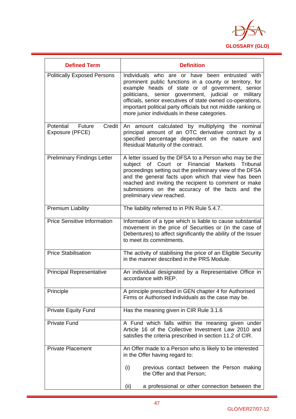

| <b>Defined Term</b>                              | <b>Definition</b>                                                                                                                                                                                                                                                                                                                                                                                        |
|--------------------------------------------------|----------------------------------------------------------------------------------------------------------------------------------------------------------------------------------------------------------------------------------------------------------------------------------------------------------------------------------------------------------------------------------------------------------|
| <b>Politically Exposed Persons</b>               | Individuals who are or have been entrusted with<br>prominent public functions in a county or territory, for<br>example heads of state or of government, senior<br>politicians,<br>senior government, judicial or military<br>officials, senior executives of state owned co-operations,<br>important political party officials but not middle ranking or<br>more junior individuals in these categories. |
| Potential<br>Credit<br>Future<br>Exposure (PFCE) | An amount calculated by multiplying the nominal<br>principal amount of an OTC derivative contract by a<br>specified percentage dependent on the nature and<br>Residual Maturity of the contract.                                                                                                                                                                                                         |
| <b>Preliminary Findings Letter</b>               | A letter issued by the DFSA to a Person who may be the<br>subject of Court or Financial<br>Markets<br>Tribunal<br>proceedings setting out the preliminary view of the DFSA<br>and the general facts upon which that view has been<br>reached and inviting the recipient to comment or make<br>submissions on the accuracy of the facts and the<br>preliminary view reached.                              |
| <b>Premium Liability</b>                         | The liability referred to in PIN Rule 5.4.7.                                                                                                                                                                                                                                                                                                                                                             |
| <b>Price Sensitive Information</b>               | Information of a type which is liable to cause substantial<br>movement in the price of Securities or (in the case of<br>Debentures) to affect significantly the ability of the Issuer<br>to meet its commitments.                                                                                                                                                                                        |
| <b>Price Stabilisation</b>                       | The activity of stabilising the price of an Eligible Security<br>in the manner described in the PRS Module.                                                                                                                                                                                                                                                                                              |
| <b>Principal Representative</b>                  | An individual designated by a Representative Office in<br>accordance with REP.                                                                                                                                                                                                                                                                                                                           |
| Principle                                        | A principle prescribed in GEN chapter 4 for Authorised<br>Firms or Authorised Individuals as the case may be.                                                                                                                                                                                                                                                                                            |
| <b>Private Equity Fund</b>                       | Has the meaning given in CIR Rule 3.1.6                                                                                                                                                                                                                                                                                                                                                                  |
| <b>Private Fund</b>                              | A Fund which falls within the meaning given under<br>Article 16 of the Collective Investment Law 2010 and<br>satisfies the criteria prescribed in section 11.2 of CIR.                                                                                                                                                                                                                                   |
| <b>Private Placement</b>                         | An Offer made to a Person who is likely to be interested<br>in the Offer having regard to:                                                                                                                                                                                                                                                                                                               |
|                                                  | (i)<br>previous contact between the Person making<br>the Offer and that Person;                                                                                                                                                                                                                                                                                                                          |
|                                                  | a professional or other connection between the<br>(ii)                                                                                                                                                                                                                                                                                                                                                   |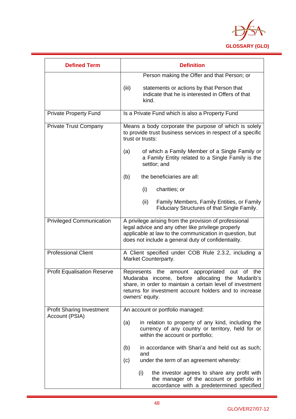

| <b>Defined Term</b>                                | <b>Definition</b>                                                                                                                                                                                                                                                   |
|----------------------------------------------------|---------------------------------------------------------------------------------------------------------------------------------------------------------------------------------------------------------------------------------------------------------------------|
|                                                    | Person making the Offer and that Person; or                                                                                                                                                                                                                         |
|                                                    | (iii)<br>statements or actions by that Person that<br>indicate that he is interested in Offers of that<br>kind.                                                                                                                                                     |
| <b>Private Property Fund</b>                       | Is a Private Fund which is also a Property Fund                                                                                                                                                                                                                     |
| <b>Private Trust Company</b>                       | Means a body corporate the purpose of which is solely<br>to provide trust business services in respect of a specific<br>trust or trusts:                                                                                                                            |
|                                                    | of which a Family Member of a Single Family or<br>(a)<br>a Family Entity related to a Single Family is the<br>settlor; and                                                                                                                                          |
|                                                    | (b)<br>the beneficiaries are all:                                                                                                                                                                                                                                   |
|                                                    | charities; or<br>(i)                                                                                                                                                                                                                                                |
|                                                    | (ii)<br>Family Members, Family Entities, or Family<br>Fiduciary Structures of that Single Family.                                                                                                                                                                   |
| <b>Privileged Communication</b>                    | A privilege arising from the provision of professional<br>legal advice and any other like privilege properly<br>applicable at law to the communication in question, but<br>does not include a general duty of confidentiality.                                      |
| <b>Professional Client</b>                         | A Client specified under COB Rule 2.3.2, including a<br>Market Counterparty.                                                                                                                                                                                        |
| <b>Profit Equalisation Reserve</b>                 | Represents<br>the<br>amount<br>appropriated<br>οf<br>the<br>out<br>Mudaraba income,<br>before<br>allocating the Mudarib's<br>share, in order to maintain a certain level of investment<br>returns for investment account holders and to increase<br>owners' equity. |
| <b>Profit Sharing Investment</b><br>Account (PSIA) | An account or portfolio managed:                                                                                                                                                                                                                                    |
|                                                    | in relation to property of any kind, including the<br>(a)<br>currency of any country or territory, held for or<br>within the account or portfolio;                                                                                                                  |
|                                                    | in accordance with Shari'a and held out as such;<br>(b)<br>and<br>under the term of an agreement whereby:<br>(c)                                                                                                                                                    |
|                                                    | (i)<br>the investor agrees to share any profit with<br>the manager of the account or portfolio in<br>accordance with a predetermined specified                                                                                                                      |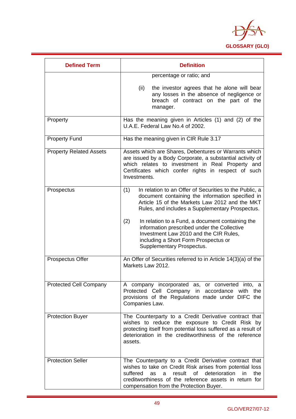

| <b>Defined Term</b>            | <b>Definition</b>                                                                                                                                                                                                                                                                                                                                                                                                                               |
|--------------------------------|-------------------------------------------------------------------------------------------------------------------------------------------------------------------------------------------------------------------------------------------------------------------------------------------------------------------------------------------------------------------------------------------------------------------------------------------------|
|                                | percentage or ratio; and                                                                                                                                                                                                                                                                                                                                                                                                                        |
|                                | the investor agrees that he alone will bear<br>(ii)<br>any losses in the absence of negligence or<br>breach of contract on the part of the<br>manager.                                                                                                                                                                                                                                                                                          |
| Property                       | Has the meaning given in Articles (1) and (2) of the<br>U.A.E. Federal Law No.4 of 2002.                                                                                                                                                                                                                                                                                                                                                        |
| <b>Property Fund</b>           | Has the meaning given in CIR Rule 3.17                                                                                                                                                                                                                                                                                                                                                                                                          |
| <b>Property Related Assets</b> | Assets which are Shares, Debentures or Warrants which<br>are issued by a Body Corporate, a substantial activity of<br>which relates to investment in Real Property and<br>Certificates which confer rights in respect of such<br>Investments.                                                                                                                                                                                                   |
| Prospectus                     | In relation to an Offer of Securities to the Public, a<br>(1)<br>document containing the information specified in<br>Article 15 of the Markets Law 2012 and the MKT<br>Rules, and includes a Supplementary Prospectus.<br>(2)<br>In relation to a Fund, a document containing the<br>information prescribed under the Collective<br>Investment Law 2010 and the CIR Rules,<br>including a Short Form Prospectus or<br>Supplementary Prospectus. |
| Prospectus Offer               | An Offer of Securities referred to in Article 14(3)(a) of the<br>Markets Law 2012.                                                                                                                                                                                                                                                                                                                                                              |
| <b>Protected Cell Company</b>  | A company incorporated as, or converted into, a<br>Protected Cell Company in accordance with the<br>provisions of the Regulations made under DIFC the<br>Companies Law.                                                                                                                                                                                                                                                                         |
| <b>Protection Buyer</b>        | The Counterparty to a Credit Derivative contract that<br>wishes to reduce the exposure to Credit Risk by<br>protecting itself from potential loss suffered as a result of<br>deterioration in the creditworthiness of the reference<br>assets.                                                                                                                                                                                                  |
| <b>Protection Seller</b>       | The Counterparty to a Credit Derivative contract that<br>wishes to take on Credit Risk arises from potential loss<br>suffered<br>result of<br>deterioration<br>in<br>the<br>as<br>$\mathbf{a}$<br>creditworthiness of the reference assets in return for<br>compensation from the Protection Buyer.                                                                                                                                             |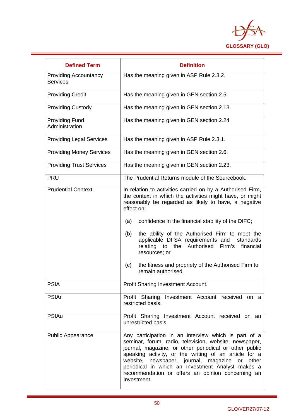

| <b>Defined Term</b>                             | <b>Definition</b>                                                                                                                                                                                                                                                                                                                                                                                                                                                                                                             |
|-------------------------------------------------|-------------------------------------------------------------------------------------------------------------------------------------------------------------------------------------------------------------------------------------------------------------------------------------------------------------------------------------------------------------------------------------------------------------------------------------------------------------------------------------------------------------------------------|
| <b>Providing Accountancy</b><br><b>Services</b> | Has the meaning given in ASP Rule 2.3.2.                                                                                                                                                                                                                                                                                                                                                                                                                                                                                      |
| <b>Providing Credit</b>                         | Has the meaning given in GEN section 2.5.                                                                                                                                                                                                                                                                                                                                                                                                                                                                                     |
| <b>Providing Custody</b>                        | Has the meaning given in GEN section 2.13.                                                                                                                                                                                                                                                                                                                                                                                                                                                                                    |
| <b>Providing Fund</b><br>Administration         | Has the meaning given in GEN section 2.24                                                                                                                                                                                                                                                                                                                                                                                                                                                                                     |
| <b>Providing Legal Services</b>                 | Has the meaning given in ASP Rule 2.3.1.                                                                                                                                                                                                                                                                                                                                                                                                                                                                                      |
| <b>Providing Money Services</b>                 | Has the meaning given in GEN section 2.6.                                                                                                                                                                                                                                                                                                                                                                                                                                                                                     |
| <b>Providing Trust Services</b>                 | Has the meaning given in GEN section 2.23.                                                                                                                                                                                                                                                                                                                                                                                                                                                                                    |
| <b>PRU</b>                                      | The Prudential Returns module of the Sourcebook.                                                                                                                                                                                                                                                                                                                                                                                                                                                                              |
| <b>Prudential Context</b>                       | In relation to activities carried on by a Authorised Firm,<br>the context in which the activities might have, or might<br>reasonably be regarded as likely to have, a negative<br>effect on:<br>confidence in the financial stability of the DIFC;<br>(a)<br>the ability of the Authorised Firm to meet the<br>(b)<br>applicable DFSA requirements and<br>standards<br>Firm's<br>relating to the Authorised<br>financial<br>resources; or<br>the fitness and propriety of the Authorised Firm to<br>(c)<br>remain authorised. |
| <b>PSIA</b>                                     | Profit Sharing Investment Account.                                                                                                                                                                                                                                                                                                                                                                                                                                                                                            |
| <b>PSIAr</b>                                    | Profit Sharing Investment Account received on a<br>restricted basis.                                                                                                                                                                                                                                                                                                                                                                                                                                                          |
| <b>PSIAu</b>                                    | Profit Sharing Investment Account received on an<br>unrestricted basis.                                                                                                                                                                                                                                                                                                                                                                                                                                                       |
| <b>Public Appearance</b>                        | Any participation in an interview which is part of a<br>seminar, forum, radio, television, website, newspaper,<br>journal, magazine, or other periodical or other public<br>speaking activity, or the writing of an article for a<br>website,<br>newspaper, journal,<br>magazine<br>or<br>other<br>periodical in which an Investment Analyst makes a<br>recommendation or offers an opinion concerning an<br>Investment.                                                                                                      |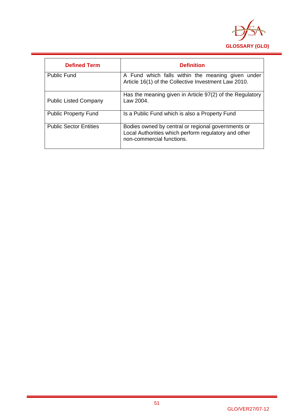

| <b>Defined Term</b>           | <b>Definition</b>                                                                                                                       |
|-------------------------------|-----------------------------------------------------------------------------------------------------------------------------------------|
| <b>Public Fund</b>            | A Fund which falls within the meaning given under<br>Article 16(1) of the Collective Investment Law 2010.                               |
| <b>Public Listed Company</b>  | Has the meaning given in Article 97(2) of the Regulatory<br>Law 2004.                                                                   |
| <b>Public Property Fund</b>   | Is a Public Fund which is also a Property Fund                                                                                          |
| <b>Public Sector Entities</b> | Bodies owned by central or regional governments or<br>Local Authorities which perform regulatory and other<br>non-commercial functions. |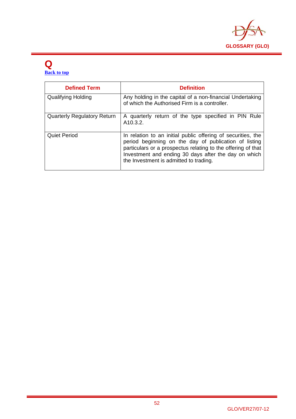

#### **Q Back to top**

| <b>Defined Term</b>                | <b>Definition</b>                                                                                                                                                                                                                                                                       |
|------------------------------------|-----------------------------------------------------------------------------------------------------------------------------------------------------------------------------------------------------------------------------------------------------------------------------------------|
| <b>Qualifying Holding</b>          | Any holding in the capital of a non-financial Undertaking<br>of which the Authorised Firm is a controller.                                                                                                                                                                              |
| <b>Quarterly Regulatory Return</b> | A quarterly return of the type specified in PIN Rule<br>A <sub>10.3.2</sub> .                                                                                                                                                                                                           |
| <b>Quiet Period</b>                | In relation to an initial public offering of securities, the<br>period beginning on the day of publication of listing<br>particulars or a prospectus relating to the offering of that<br>Investment and ending 30 days after the day on which<br>the Investment is admitted to trading. |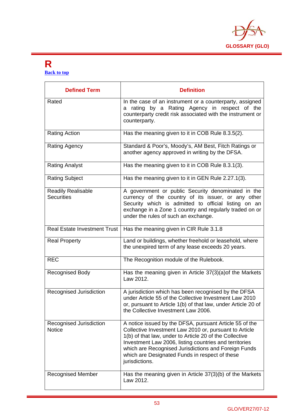

#### **R Back to top**

| <b>Defined Term</b>                            | <b>Definition</b>                                                                                                                                                                                                                                                                                                                                                  |
|------------------------------------------------|--------------------------------------------------------------------------------------------------------------------------------------------------------------------------------------------------------------------------------------------------------------------------------------------------------------------------------------------------------------------|
| Rated                                          | In the case of an instrument or a counterparty, assigned<br>rating by a Rating Agency in respect of the<br>a<br>counterparty credit risk associated with the instrument or<br>counterparty.                                                                                                                                                                        |
| <b>Rating Action</b>                           | Has the meaning given to it in COB Rule 8.3.5(2).                                                                                                                                                                                                                                                                                                                  |
| Rating Agency                                  | Standard & Poor's, Moody's, AM Best, Fitch Ratings or<br>another agency approved in writing by the DFSA.                                                                                                                                                                                                                                                           |
| <b>Rating Analyst</b>                          | Has the meaning given to it in COB Rule 8.3.1(3).                                                                                                                                                                                                                                                                                                                  |
| <b>Rating Subject</b>                          | Has the meaning given to it in GEN Rule 2.27.1(3).                                                                                                                                                                                                                                                                                                                 |
| <b>Readily Realisable</b><br><b>Securities</b> | A government or public Security denominated in the<br>currency of the country of its issuer, or any other<br>Security which is admitted to official listing on an<br>exchange in a Zone 1 country and regularly traded on or<br>under the rules of such an exchange.                                                                                               |
| <b>Real Estate Investment Trust</b>            | Has the meaning given in CIR Rule 3.1.8                                                                                                                                                                                                                                                                                                                            |
| <b>Real Property</b>                           | Land or buildings, whether freehold or leasehold, where<br>the unexpired term of any lease exceeds 20 years.                                                                                                                                                                                                                                                       |
| <b>REC</b>                                     | The Recognition module of the Rulebook.                                                                                                                                                                                                                                                                                                                            |
| <b>Recognised Body</b>                         | Has the meaning given in Article 37(3)(a) of the Markets<br>Law 2012.                                                                                                                                                                                                                                                                                              |
| Recognised Jurisdiction                        | A jurisdiction which has been recognised by the DFSA<br>under Article 55 of the Collective Investment Law 2010<br>or, pursuant to Article 1(b) of that law, under Article 20 of<br>the Collective Investment Law 2006.                                                                                                                                             |
| Recognised Jurisdiction<br><b>Notice</b>       | A notice issued by the DFSA, pursuant Article 55 of the<br>Collective Investment Law 2010 or, pursuant to Article<br>1(b) of that law, under to Article 20 of the Collective<br>Investment Law 2006, listing countries and territories<br>which are Recognised Jurisdictions and Foreign Funds<br>which are Designated Funds in respect of these<br>jurisdictions. |
| <b>Recognised Member</b>                       | Has the meaning given in Article 37(3)(b) of the Markets<br>Law 2012.                                                                                                                                                                                                                                                                                              |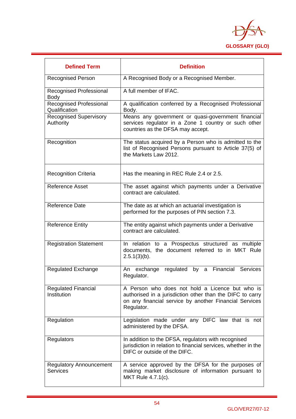

| <b>Defined Term</b>                               | <b>Definition</b>                                                                                                                                                                    |
|---------------------------------------------------|--------------------------------------------------------------------------------------------------------------------------------------------------------------------------------------|
| <b>Recognised Person</b>                          | A Recognised Body or a Recognised Member.                                                                                                                                            |
| <b>Recognised Professional</b><br><b>Body</b>     | A full member of IFAC.                                                                                                                                                               |
| <b>Recognised Professional</b><br>Qualification   | A qualification conferred by a Recognised Professional<br>Body.                                                                                                                      |
| <b>Recognised Supervisory</b><br>Authority        | Means any government or quasi-government financial<br>services regulator in a Zone 1 country or such other<br>countries as the DFSA may accept.                                      |
| Recognition                                       | The status acquired by a Person who is admitted to the<br>list of Recognised Persons pursuant to Article 37(5) of<br>the Markets Law 2012.                                           |
| <b>Recognition Criteria</b>                       | Has the meaning in REC Rule 2.4 or 2.5.                                                                                                                                              |
| <b>Reference Asset</b>                            | The asset against which payments under a Derivative<br>contract are calculated.                                                                                                      |
| <b>Reference Date</b>                             | The date as at which an actuarial investigation is<br>performed for the purposes of PIN section 7.3.                                                                                 |
| <b>Reference Entity</b>                           | The entity against which payments under a Derivative<br>contract are calculated.                                                                                                     |
| <b>Registration Statement</b>                     | In relation to a Prospectus structured as multiple<br>documents, the document referred to in MKT Rule<br>$2.5.1(3)(b)$ .                                                             |
| <b>Regulated Exchange</b>                         | regulated by a Financial Services<br>An exchange<br>Regulator.                                                                                                                       |
| <b>Regulated Financial</b><br>Institution         | A Person who does not hold a Licence but who is<br>authorised in a jurisdiction other than the DIFC to carry<br>on any financial service by another Financial Services<br>Regulator. |
| Regulation                                        | Legislation made under any DIFC law that is not<br>administered by the DFSA.                                                                                                         |
| Regulators                                        | In addition to the DFSA, regulators with recognised<br>jurisdiction in relation to financial services, whether in the<br>DIFC or outside of the DIFC.                                |
| <b>Regulatory Announcement</b><br><b>Services</b> | A service approved by the DFSA for the purposes of<br>making market disclosure of information pursuant to<br>MKT Rule 4.7.1(c).                                                      |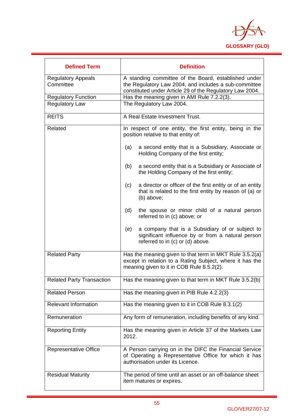

| <b>Defined Term</b>                    | <b>Definition</b>                                                                                                                                                         |
|----------------------------------------|---------------------------------------------------------------------------------------------------------------------------------------------------------------------------|
| <b>Regulatory Appeals</b><br>Committee | A standing committee of the Board, established under<br>the Regulatory Law 2004, and includes a sub-committee<br>constituted under Article 29 of the Regulatory Law 2004. |
| <b>Regulatory Function</b>             | Has the meaning given in AMI Rule 7.2.2(3).                                                                                                                               |
| <b>Regulatory Law</b>                  | The Regulatory Law 2004.                                                                                                                                                  |
| <b>REITS</b>                           | A Real Estate Investment Trust.                                                                                                                                           |
| Related                                | In respect of one entity, the first entity, being in the<br>position relative to that entity of:                                                                          |
|                                        | (a)<br>a second entity that is a Subsidiary, Associate or<br>Holding Company of the first entity;                                                                         |
|                                        | (b)<br>a second entity that is a Subsidiary or Associate of<br>the Holding Company of the first entity;                                                                   |
|                                        | a director or officer of the first entity or of an entity<br>(c)<br>that is related to the first entity by reason of (a) or<br>(b) above;                                 |
|                                        | (d)<br>the spouse or minor child of a natural person<br>referred to in (c) above; or                                                                                      |
|                                        | (e)<br>a company that is a Subsidiary of or subject to<br>significant influence by or from a natural person<br>referred to in (c) or (d) above.                           |
| <b>Related Party</b>                   | Has the meaning given to that term in MKT Rule 3.5.2(a)<br>except in relation to a Rating Subject, where it has the<br>meaning given to it in COB Rule 8.5.2(2).          |
| <b>Related Party Transaction</b>       | Has the meaning given to that term in MKT Rule 3.5.2(b)                                                                                                                   |
| <b>Related Person</b>                  | Has the meaning given in PIB Rule 4.2.2(3)                                                                                                                                |
| <b>Relevant Information</b>            | Has the meaning given to it in COB Rule 8.3.1(2)                                                                                                                          |
| Remuneration                           | Any form of remuneration, including benefits of any kind.                                                                                                                 |
| <b>Reporting Entity</b>                | Has the meaning given in Article 37 of the Markets Law<br>2012.                                                                                                           |
| <b>Representative Office</b>           | A Person carrying on in the DIFC the Financial Service<br>of Operating a Representative Office for which it has<br>authorisation under its Licence.                       |
| <b>Residual Maturity</b>               | The period of time until an asset or an off-balance sheet<br>item matures or expires.                                                                                     |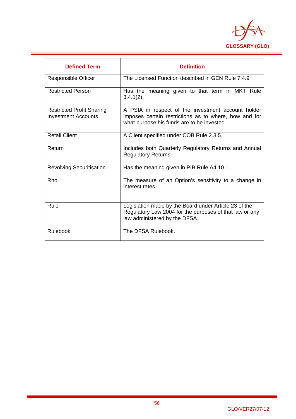

| <b>Defined Term</b>                                     | <b>Definition</b>                                                                                                                                         |
|---------------------------------------------------------|-----------------------------------------------------------------------------------------------------------------------------------------------------------|
| <b>Responsible Officer</b>                              | The Licensed Function described in GEN Rule 7.4.9                                                                                                         |
| <b>Restricted Person</b>                                | Has the meaning given to that term in MKT Rule<br>$3.4.1(2)$ .                                                                                            |
| <b>Restricted Profit Sharing</b><br>Investment Accounts | A PSIA in respect of the investment account holder<br>imposes certain restrictions as to where, how and for<br>what purpose his funds are to be invested. |
| <b>Retail Client</b>                                    | A Client specified under COB Rule 2.3.5.                                                                                                                  |
| Return                                                  | Includes both Quarterly Regulatory Returns and Annual<br><b>Regulatory Returns.</b>                                                                       |
| <b>Revolving Securitisation</b>                         | Has the meaning given in PIB Rule A4.10.1.                                                                                                                |
| Rho                                                     | The measure of an Option's sensitivity to a change in<br>interest rates.                                                                                  |
| Rule                                                    | Legislation made by the Board under Article 23 of the<br>Regulatory Law 2004 for the purposes of that law or any<br>law administered by the DFSA.         |
| Rulebook                                                | The DFSA Rulebook.                                                                                                                                        |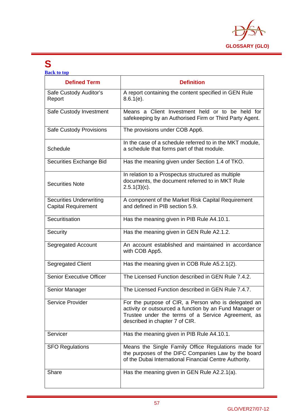

### **S**

| <b>Back to top</b>                                           |                                                                                                                                                                                                         |  |  |
|--------------------------------------------------------------|---------------------------------------------------------------------------------------------------------------------------------------------------------------------------------------------------------|--|--|
| <b>Defined Term</b>                                          | <b>Definition</b>                                                                                                                                                                                       |  |  |
| Safe Custody Auditor's<br>Report                             | A report containing the content specified in GEN Rule<br>$8.6.1(e)$ .                                                                                                                                   |  |  |
| Safe Custody Investment                                      | Means a Client Investment held or to be held for<br>safekeeping by an Authorised Firm or Third Party Agent.                                                                                             |  |  |
| Safe Custody Provisions                                      | The provisions under COB App6.                                                                                                                                                                          |  |  |
| Schedule                                                     | In the case of a schedule referred to in the MKT module,<br>a schedule that forms part of that module.                                                                                                  |  |  |
| Securities Exchange Bid                                      | Has the meaning given under Section 1.4 of TKO.                                                                                                                                                         |  |  |
| <b>Securities Note</b>                                       | In relation to a Prospectus structured as multiple<br>documents, the document referred to in MKT Rule<br>$2.5.1(3)(c)$ .                                                                                |  |  |
| <b>Securities Underwriting</b><br><b>Capital Requirement</b> | A component of the Market Risk Capital Requirement<br>and defined in PIB section 5.9.                                                                                                                   |  |  |
| Securitisation                                               | Has the meaning given in PIB Rule A4.10.1.                                                                                                                                                              |  |  |
| Security                                                     | Has the meaning given in GEN Rule A2.1.2.                                                                                                                                                               |  |  |
| Segregated Account                                           | An account established and maintained in accordance<br>with COB App5.                                                                                                                                   |  |  |
| <b>Segregated Client</b>                                     | Has the meaning given in COB Rule A5.2.1(2).                                                                                                                                                            |  |  |
| <b>Senior Executive Officer</b>                              | The Licensed Function described in GEN Rule 7.4.2.                                                                                                                                                      |  |  |
| Senior Manager                                               | The Licensed Function described in GEN Rule 7.4.7.                                                                                                                                                      |  |  |
| Service Provider                                             | For the purpose of CIR, a Person who is delegated an<br>activity or outsourced a function by an Fund Manager or<br>Trustee under the terms of a Service Agreement, as<br>described in chapter 7 of CIR. |  |  |
| Servicer                                                     | Has the meaning given in PIB Rule A4.10.1.                                                                                                                                                              |  |  |
| <b>SFO Regulations</b>                                       | Means the Single Family Office Regulations made for<br>the purposes of the DIFC Companies Law by the board<br>of the Dubai International Financial Centre Authority.                                    |  |  |
| Share                                                        | Has the meaning given in GEN Rule A2.2.1(a).                                                                                                                                                            |  |  |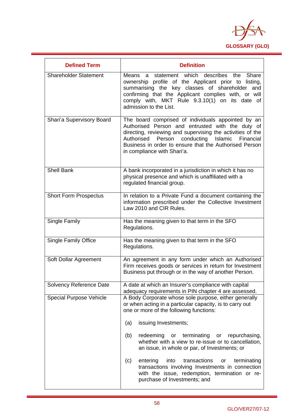

| <b>Defined Term</b>            | <b>Definition</b>                                                                                                                                                                                                                                                                                                  |
|--------------------------------|--------------------------------------------------------------------------------------------------------------------------------------------------------------------------------------------------------------------------------------------------------------------------------------------------------------------|
| <b>Shareholder Statement</b>   | Means a statement which describes the Share<br>ownership profile of the Applicant prior to listing,<br>summarising the key classes of shareholder and<br>confirming that the Applicant complies with, or will<br>comply with, MKT Rule 9.3.10(1) on its date of<br>admission to the List.                          |
| Shari'a Supervisory Board      | The board comprised of individuals appointed by an<br>Authorised Person and entrusted with the duty of<br>directing, reviewing and supervising the activities of the<br>Authorised Person conducting Islamic<br>Financial<br>Business in order to ensure that the Authorised Person<br>in compliance with Shari'a. |
| <b>Shell Bank</b>              | A bank incorporated in a jurisdiction in which it has no<br>physical presence and which is unaffiliated with a<br>regulated financial group.                                                                                                                                                                       |
| <b>Short Form Prospectus</b>   | In relation to a Private Fund a document containing the<br>information prescribed under the Collective Investment<br>Law 2010 and CIR Rules.                                                                                                                                                                       |
| Single Family                  | Has the meaning given to that term in the SFO<br>Regulations.                                                                                                                                                                                                                                                      |
| <b>Single Family Office</b>    | Has the meaning given to that term in the SFO<br>Regulations.                                                                                                                                                                                                                                                      |
| Soft Dollar Agreement          | An agreement in any form under which an Authorised<br>Firm receives goods or services in return for Investment<br>Business put through or in the way of another Person.                                                                                                                                            |
| <b>Solvency Reference Date</b> | A date at which an Insurer's compliance with capital<br>adequacy requirements in PIN chapter 4 are assessed.                                                                                                                                                                                                       |
| <b>Special Purpose Vehicle</b> | A Body Corporate whose sole purpose, either generally<br>or when acting in a particular capacity, is to carry out<br>one or more of the following functions:                                                                                                                                                       |
|                                | issuing Investments;<br>(a)                                                                                                                                                                                                                                                                                        |
|                                | (b)<br>redeeming<br>terminating<br>repurchasing,<br>or<br>or<br>whether with a view to re-issue or to cancellation,<br>an issue, in whole or par, of Investments; or                                                                                                                                               |
|                                | transactions<br>(c)<br>entering<br>into<br>terminating<br>or<br>transactions involving Investments in connection<br>with the issue, redemption, termination or re-<br>purchase of Investments; and                                                                                                                 |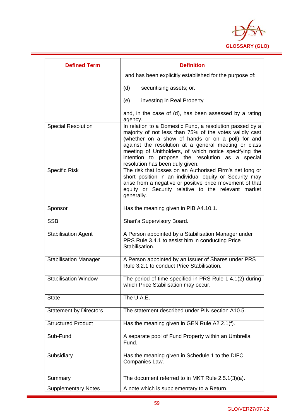

| <b>Defined Term</b>           | <b>Definition</b>                                                                                                                                                                                                                                                                                                                                                                 |
|-------------------------------|-----------------------------------------------------------------------------------------------------------------------------------------------------------------------------------------------------------------------------------------------------------------------------------------------------------------------------------------------------------------------------------|
|                               | and has been explicitly established for the purpose of:                                                                                                                                                                                                                                                                                                                           |
|                               | (d)<br>securitising assets; or.                                                                                                                                                                                                                                                                                                                                                   |
|                               | investing in Real Property<br>(e)                                                                                                                                                                                                                                                                                                                                                 |
|                               | and, in the case of (d), has been assessed by a rating<br>agency.                                                                                                                                                                                                                                                                                                                 |
| <b>Special Resolution</b>     | In relation to a Domestic Fund, a resolution passed by a<br>majority of not less than 75% of the votes validly cast<br>(whether on a show of hands or on a poll) for and<br>against the resolution at a general meeting or class<br>meeting of Unitholders, of which notice specifying the<br>intention to propose the resolution as a special<br>resolution has been duly given. |
| <b>Specific Risk</b>          | The risk that losses on an Authorised Firm's net long or<br>short position in an individual equity or Security may<br>arise from a negative or positive price movement of that<br>equity or Security relative to the relevant market<br>generally.                                                                                                                                |
| Sponsor                       | Has the meaning given in PIB A4.10.1.                                                                                                                                                                                                                                                                                                                                             |
| <b>SSB</b>                    | Shari'a Supervisory Board.                                                                                                                                                                                                                                                                                                                                                        |
| <b>Stabilisation Agent</b>    | A Person appointed by a Stabilisation Manager under<br>PRS Rule 3.4.1 to assist him in conducting Price<br>Stabilisation.                                                                                                                                                                                                                                                         |
| <b>Stabilisation Manager</b>  | A Person appointed by an Issuer of Shares under PRS<br>Rule 3.2.1 to conduct Price Stabilisation.                                                                                                                                                                                                                                                                                 |
| <b>Stabilisation Window</b>   | The period of time specified in PRS Rule 1.4.1(2) during<br>which Price Stabilisation may occur.                                                                                                                                                                                                                                                                                  |
| <b>State</b>                  | The U.A.E.                                                                                                                                                                                                                                                                                                                                                                        |
| <b>Statement by Directors</b> | The statement described under PIN section A10.5.                                                                                                                                                                                                                                                                                                                                  |
| <b>Structured Product</b>     | Has the meaning given in GEN Rule A2.2.1(f).                                                                                                                                                                                                                                                                                                                                      |
| Sub-Fund                      | A separate pool of Fund Property within an Umbrella<br>Fund.                                                                                                                                                                                                                                                                                                                      |
| Subsidiary                    | Has the meaning given in Schedule 1 to the DIFC<br>Companies Law.                                                                                                                                                                                                                                                                                                                 |
| Summary                       | The document referred to in MKT Rule 2.5.1(3)(a).                                                                                                                                                                                                                                                                                                                                 |
| <b>Supplementary Notes</b>    | A note which is supplementary to a Return.                                                                                                                                                                                                                                                                                                                                        |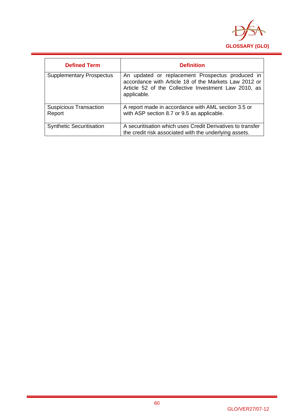

| <b>Defined Term</b>                     | <b>Definition</b>                                                                                                                                                                |
|-----------------------------------------|----------------------------------------------------------------------------------------------------------------------------------------------------------------------------------|
| <b>Supplementary Prospectus</b>         | An updated or replacement Prospectus produced in<br>accordance with Article 18 of the Markets Law 2012 or<br>Article 52 of the Collective Investment Law 2010, as<br>applicable. |
| <b>Suspicious Transaction</b><br>Report | A report made in accordance with AML section 3.5 or<br>with ASP section 8.7 or 9.5 as applicable.                                                                                |
| <b>Synthetic Securitisation</b>         | A securitisation which uses Credit Derivatives to transfer<br>the credit risk associated with the underlying assets.                                                             |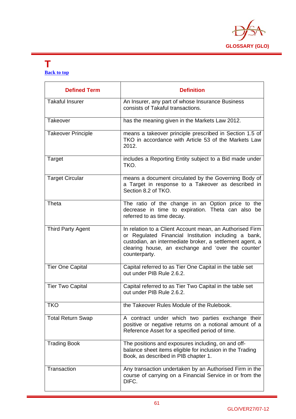

#### **T Back to top**

| <b>Defined Term</b>       | <b>Definition</b>                                                                                                                                                                                                                                   |
|---------------------------|-----------------------------------------------------------------------------------------------------------------------------------------------------------------------------------------------------------------------------------------------------|
| <b>Takaful Insurer</b>    | An Insurer, any part of whose Insurance Business<br>consists of Takaful transactions.                                                                                                                                                               |
| Takeover                  | has the meaning given in the Markets Law 2012.                                                                                                                                                                                                      |
| <b>Takeover Principle</b> | means a takeover principle prescribed in Section 1.5 of<br>TKO in accordance with Article 53 of the Markets Law<br>2012.                                                                                                                            |
| Target                    | includes a Reporting Entity subject to a Bid made under<br>TKO.                                                                                                                                                                                     |
| <b>Target Circular</b>    | means a document circulated by the Governing Body of<br>a Target in response to a Takeover as described in<br>Section 8.2 of TKO.                                                                                                                   |
| Theta                     | The ratio of the change in an Option price to the<br>decrease in time to expiration. Theta can also be<br>referred to as time decay.                                                                                                                |
| Third Party Agent         | In relation to a Client Account mean, an Authorised Firm<br>or Regulated Financial Institution including a bank,<br>custodian, an intermediate broker, a settlement agent, a<br>clearing house, an exchange and 'over the counter'<br>counterparty. |
| <b>Tier One Capital</b>   | Capital referred to as Tier One Capital in the table set<br>out under PIB Rule 2.6.2.                                                                                                                                                               |
| <b>Tier Two Capital</b>   | Capital referred to as Tier Two Capital in the table set<br>out under PIB Rule 2.6.2.                                                                                                                                                               |
| <b>TKO</b>                | the Takeover Rules Module of the Rulebook.                                                                                                                                                                                                          |
| <b>Total Return Swap</b>  | A contract under which two parties exchange their<br>positive or negative returns on a notional amount of a<br>Reference Asset for a specified period of time.                                                                                      |
| <b>Trading Book</b>       | The positions and exposures including, on and off-<br>balance sheet items eligible for inclusion in the Trading<br>Book, as described in PIB chapter 1.                                                                                             |
| Transaction               | Any transaction undertaken by an Authorised Firm in the<br>course of carrying on a Financial Service in or from the<br>DIFC.                                                                                                                        |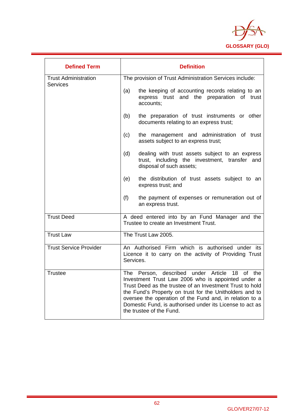

| <b>Defined Term</b>                            | <b>Definition</b>                                                                                                                                                                                                                                                                                                                                                             |
|------------------------------------------------|-------------------------------------------------------------------------------------------------------------------------------------------------------------------------------------------------------------------------------------------------------------------------------------------------------------------------------------------------------------------------------|
| <b>Trust Administration</b><br><b>Services</b> | The provision of Trust Administration Services include:                                                                                                                                                                                                                                                                                                                       |
|                                                | the keeping of accounting records relating to an<br>(a)<br>express trust and the preparation of trust<br>accounts;                                                                                                                                                                                                                                                            |
|                                                | (b)<br>the preparation of trust instruments or other<br>documents relating to an express trust;                                                                                                                                                                                                                                                                               |
|                                                | the management and administration of trust<br>(c)<br>assets subject to an express trust;                                                                                                                                                                                                                                                                                      |
|                                                | (d)<br>dealing with trust assets subject to an express<br>trust, including the investment, transfer and<br>disposal of such assets;                                                                                                                                                                                                                                           |
|                                                | (e)<br>the distribution of trust assets subject to an<br>express trust; and                                                                                                                                                                                                                                                                                                   |
|                                                | (f)<br>the payment of expenses or remuneration out of<br>an express trust.                                                                                                                                                                                                                                                                                                    |
| <b>Trust Deed</b>                              | A deed entered into by an Fund Manager and the<br>Trustee to create an Investment Trust.                                                                                                                                                                                                                                                                                      |
| <b>Trust Law</b>                               | The Trust Law 2005.                                                                                                                                                                                                                                                                                                                                                           |
| <b>Trust Service Provider</b>                  | An Authorised Firm which is authorised under its<br>Licence it to carry on the activity of Providing Trust<br>Services.                                                                                                                                                                                                                                                       |
| <b>Trustee</b>                                 | The Person, described under Article 18 of the<br>Investment Trust Law 2006 who is appointed under a<br>Trust Deed as the trustee of an Investment Trust to hold<br>the Fund's Property on trust for the Unitholders and to<br>oversee the operation of the Fund and, in relation to a<br>Domestic Fund, is authorised under its License to act as<br>the trustee of the Fund. |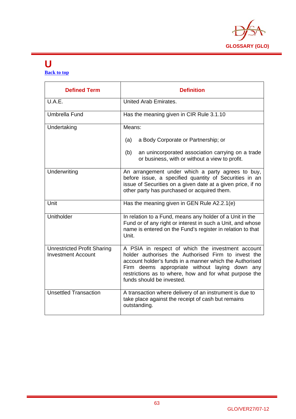

#### **U Back to top**

| <b>Defined Term</b>                                             | <b>Definition</b>                                                                                                                                                                                                                                                                                            |
|-----------------------------------------------------------------|--------------------------------------------------------------------------------------------------------------------------------------------------------------------------------------------------------------------------------------------------------------------------------------------------------------|
| U.A.E.                                                          | United Arab Emirates.                                                                                                                                                                                                                                                                                        |
| <b>Umbrella Fund</b>                                            | Has the meaning given in CIR Rule 3.1.10                                                                                                                                                                                                                                                                     |
| Undertaking                                                     | Means:                                                                                                                                                                                                                                                                                                       |
|                                                                 | a Body Corporate or Partnership; or<br>(a)                                                                                                                                                                                                                                                                   |
|                                                                 | (b)<br>an unincorporated association carrying on a trade<br>or business, with or without a view to profit.                                                                                                                                                                                                   |
| Underwriting                                                    | An arrangement under which a party agrees to buy,<br>before issue, a specified quantity of Securities in an<br>issue of Securities on a given date at a given price, if no<br>other party has purchased or acquired them.                                                                                    |
| Unit                                                            | Has the meaning given in GEN Rule A2.2.1(e)                                                                                                                                                                                                                                                                  |
| Unitholder                                                      | In relation to a Fund, means any holder of a Unit in the<br>Fund or of any right or interest in such a Unit, and whose<br>name is entered on the Fund's register in relation to that<br>Unit.                                                                                                                |
| <b>Unrestricted Profit Sharing</b><br><b>Investment Account</b> | A PSIA in respect of which the investment account<br>holder authorises the Authorised Firm to invest the<br>account holder's funds in a manner which the Authorised<br>Firm deems appropriate without laying down any<br>restrictions as to where, how and for what purpose the<br>funds should be invested. |
| <b>Unsettled Transaction</b>                                    | A transaction where delivery of an instrument is due to<br>take place against the receipt of cash but remains<br>outstanding.                                                                                                                                                                                |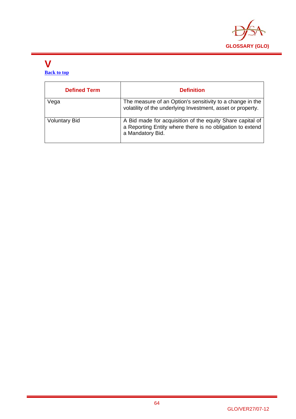

#### **V Back to top**

| <b>Defined Term</b>  | <b>Definition</b>                                                                                                                          |
|----------------------|--------------------------------------------------------------------------------------------------------------------------------------------|
| Vega                 | The measure of an Option's sensitivity to a change in the<br>volatility of the underlying Investment, asset or property.                   |
| <b>Voluntary Bid</b> | A Bid made for acquisition of the equity Share capital of<br>a Reporting Entity where there is no obligation to extend<br>a Mandatory Bid. |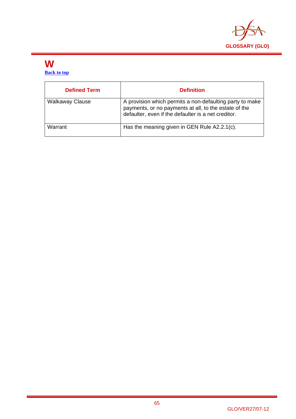

#### **W Back to top**

| <b>Defined Term</b>    | <b>Definition</b>                                                                                                                                                        |
|------------------------|--------------------------------------------------------------------------------------------------------------------------------------------------------------------------|
| <b>Walkaway Clause</b> | A provision which permits a non-defaulting party to make<br>payments, or no payments at all, to the estate of the<br>defaulter, even if the defaulter is a net creditor. |
| Warrant                | Has the meaning given in GEN Rule A2.2.1(c).                                                                                                                             |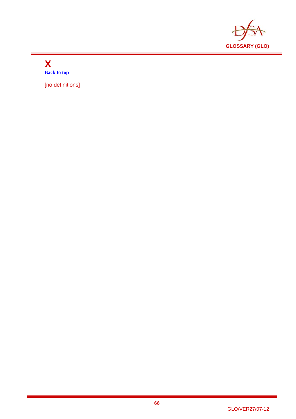

#### **X Back to top**

[no definitions]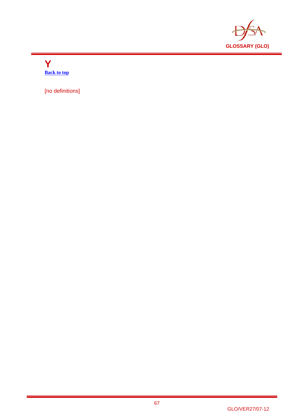

**Y Back to top** 

[no definitions]